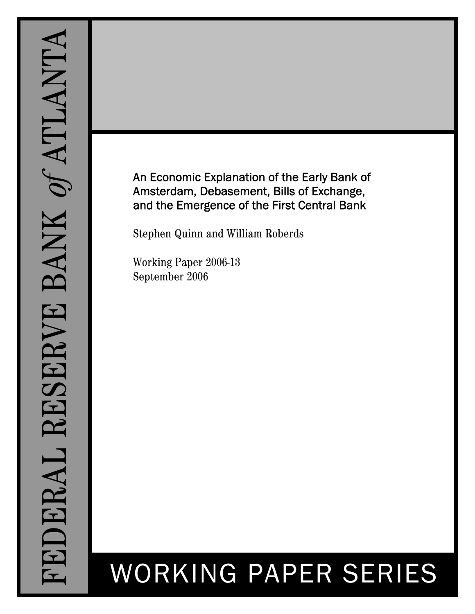An Economic Explanation of the Early Bank of Amsterdam, Debasement, Bills of Exchange, and the Emergence of the First Central Bank

Stephen Quinn and William Roberds

Working Paper 2006-13 September 2006

# WORKING PAPER SERIES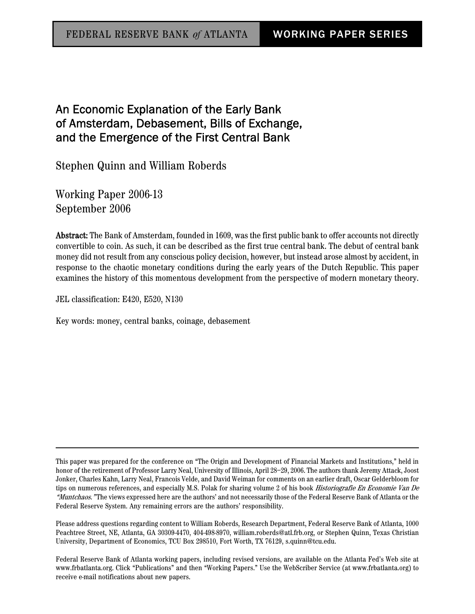# An Economic Explanation of the Early Bank of Amsterdam, Debasement, Bills of Exchange, and the Emergence of the First Central Bank

Stephen Quinn and William Roberds

Working Paper 2006-13 September 2006

Abstract: The Bank of Amsterdam, founded in 1609, was the first public bank to offer accounts not directly convertible to coin. As such, it can be described as the first true central bank. The debut of central bank money did not result from any conscious policy decision, however, but instead arose almost by accident, in response to the chaotic monetary conditions during the early years of the Dutch Republic. This paper examines the history of this momentous development from the perspective of modern monetary theory.

JEL classification: E420, E520, N130

Key words: money, central banks, coinage, debasement

This paper was prepared for the conference on "The Origin and Development of Financial Markets and Institutions," held in honor of the retirement of Professor Larry Neal, University of Illinois, April 28–29, 2006. The authors thank Jeremy Attack, Joost Jonker, Charles Kahn, Larry Neal, Francois Velde, and David Weiman for comments on an earlier draft, Oscar Gelderbloom for tips on numerous references, and especially M.S. Polak for sharing volume 2 of his book *Historiografie En Economie Van De* "Muntchaos." The views expressed here are the authors' and not necessarily those of the Federal Reserve Bank of Atlanta or the Federal Reserve System. Any remaining errors are the authors' responsibility.

Please address questions regarding content to William Roberds, Research Department, Federal Reserve Bank of Atlanta, 1000 Peachtree Street, NE, Atlanta, GA 30309-4470, 404-498-8970, william.roberds@atl.frb.org, or Stephen Quinn, Texas Christian University, Department of Economics, TCU Box 298510, Fort Worth, TX 76129, s.quinn@tcu.edu.

Federal Reserve Bank of Atlanta working papers, including revised versions, are available on the Atlanta Fed's Web site at www.frbatlanta.org. Click "Publications" and then "Working Papers." Use the WebScriber Service (at www.frbatlanta.org) to receive e-mail notifications about new papers.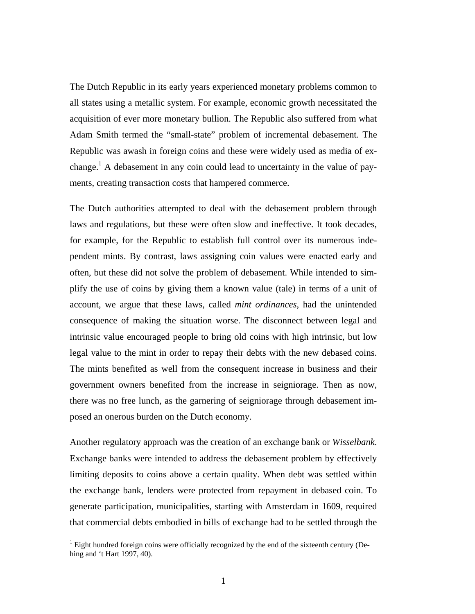The Dutch Republic in its early years experienced monetary problems common to all states using a metallic system. For example, economic growth necessitated the acquisition of ever more monetary bullion. The Republic also suffered from what Adam Smith termed the "small-state" problem of incremental debasement. The Republic was awash in foreign coins and these were widely used as media of exchange.<sup>1</sup> A debasement in any coin could lead to uncertainty in the value of payments, creating transaction costs that hampered commerce.

The Dutch authorities attempted to deal with the debasement problem through laws and regulations, but these were often slow and ineffective. It took decades, for example, for the Republic to establish full control over its numerous independent mints. By contrast, laws assigning coin values were enacted early and often, but these did not solve the problem of debasement. While intended to simplify the use of coins by giving them a known value (tale) in terms of a unit of account, we argue that these laws, called *mint ordinances*, had the unintended consequence of making the situation worse. The disconnect between legal and intrinsic value encouraged people to bring old coins with high intrinsic, but low legal value to the mint in order to repay their debts with the new debased coins. The mints benefited as well from the consequent increase in business and their government owners benefited from the increase in seigniorage. Then as now, there was no free lunch, as the garnering of seigniorage through debasement imposed an onerous burden on the Dutch economy.

Another regulatory approach was the creation of an exchange bank or *Wisselbank*. Exchange banks were intended to address the debasement problem by effectively limiting deposits to coins above a certain quality. When debt was settled within the exchange bank, lenders were protected from repayment in debased coin. To generate participation, municipalities, starting with Amsterdam in 1609, required that commercial debts embodied in bills of exchange had to be settled through the

<sup>&</sup>lt;sup>1</sup> Eight hundred foreign coins were officially recognized by the end of the sixteenth century (Dehing and 't Hart 1997, 40).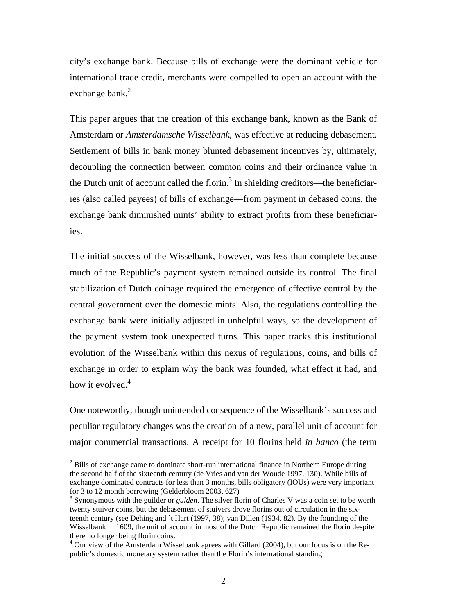city's exchange bank. Because bills of exchange were the dominant vehicle for international trade credit, merchants were compelled to open an account with the exchange bank. $^{2}$ 

This paper argues that the creation of this exchange bank, known as the Bank of Amsterdam or *Amsterdamsche Wisselbank*, was effective at reducing debasement. Settlement of bills in bank money blunted debasement incentives by, ultimately, decoupling the connection between common coins and their ordinance value in the Dutch unit of account called the florin. $3$  In shielding creditors—the beneficiaries (also called payees) of bills of exchange—from payment in debased coins, the exchange bank diminished mints' ability to extract profits from these beneficiaries.

The initial success of the Wisselbank, however, was less than complete because much of the Republic's payment system remained outside its control. The final stabilization of Dutch coinage required the emergence of effective control by the central government over the domestic mints. Also, the regulations controlling the exchange bank were initially adjusted in unhelpful ways, so the development of the payment system took unexpected turns. This paper tracks this institutional evolution of the Wisselbank within this nexus of regulations, coins, and bills of exchange in order to explain why the bank was founded, what effect it had, and how it evolved.<sup>4</sup>

One noteworthy, though unintended consequence of the Wisselbank's success and peculiar regulatory changes was the creation of a new, parallel unit of account for major commercial transactions. A receipt for 10 florins held *in banco* (the term

 $2^2$  Bills of exchange came to dominate short-run international finance in Northern Europe during the second half of the sixteenth century (de Vries and van der Woude 1997, 130). While bills of exchange dominated contracts for less than 3 months, bills obligatory (IOUs) were very important for 3 to 12 month borrowing (Gelderbloom 2003, 627)

<sup>&</sup>lt;sup>3</sup> Synonymous with the guilder or *gulden*. The silver florin of Charles V was a coin set to be worth twenty stuiver coins, but the debasement of stuivers drove florins out of circulation in the sixteenth century (see Dehing and `t Hart (1997, 38); van Dillen (1934, 82). By the founding of the Wisselbank in 1609, the unit of account in most of the Dutch Republic remained the florin despite there no longer being florin coins.

<sup>&</sup>lt;sup>4</sup> Our view of the Amsterdam Wisselbank agrees with Gillard (2004), but our focus is on the Republic's domestic monetary system rather than the Florin's international standing.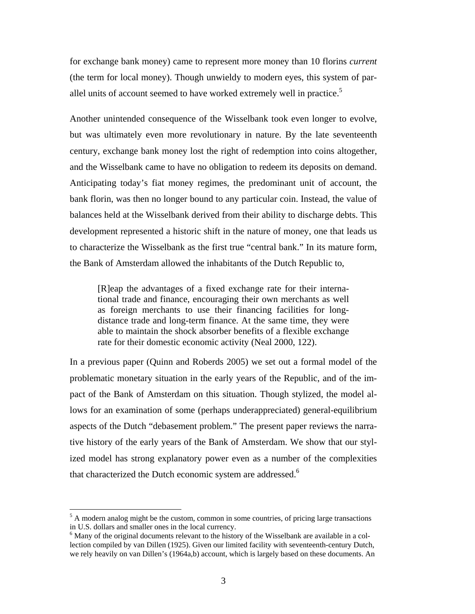for exchange bank money) came to represent more money than 10 florins *current* (the term for local money). Though unwieldy to modern eyes, this system of parallel units of account seemed to have worked extremely well in practice.<sup>5</sup>

Another unintended consequence of the Wisselbank took even longer to evolve, but was ultimately even more revolutionary in nature. By the late seventeenth century, exchange bank money lost the right of redemption into coins altogether, and the Wisselbank came to have no obligation to redeem its deposits on demand. Anticipating today's fiat money regimes, the predominant unit of account, the bank florin, was then no longer bound to any particular coin. Instead, the value of balances held at the Wisselbank derived from their ability to discharge debts. This development represented a historic shift in the nature of money, one that leads us to characterize the Wisselbank as the first true "central bank." In its mature form, the Bank of Amsterdam allowed the inhabitants of the Dutch Republic to,

[R]eap the advantages of a fixed exchange rate for their international trade and finance, encouraging their own merchants as well as foreign merchants to use their financing facilities for longdistance trade and long-term finance. At the same time, they were able to maintain the shock absorber benefits of a flexible exchange rate for their domestic economic activity (Neal 2000, 122).

In a previous paper (Quinn and Roberds 2005) we set out a formal model of the problematic monetary situation in the early years of the Republic, and of the impact of the Bank of Amsterdam on this situation. Though stylized, the model allows for an examination of some (perhaps underappreciated) general-equilibrium aspects of the Dutch "debasement problem." The present paper reviews the narrative history of the early years of the Bank of Amsterdam. We show that our stylized model has strong explanatory power even as a number of the complexities that characterized the Dutch economic system are addressed.<sup>6</sup>

 $<sup>5</sup>$  A modern analog might be the custom, common in some countries, of pricing large transactions</sup> in U.S. dollars and smaller ones in the local currency.

 $6$  Many of the original documents relevant to the history of the Wisselbank are available in a collection compiled by van Dillen (1925). Given our limited facility with seventeenth-century Dutch, we rely heavily on van Dillen's (1964a,b) account, which is largely based on these documents. An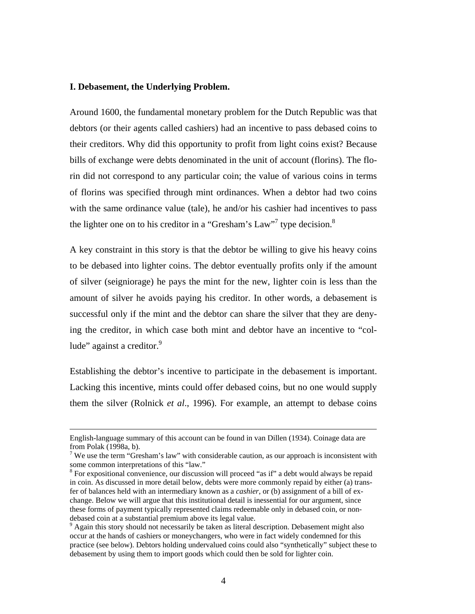#### **I. Debasement, the Underlying Problem.**

Around 1600, the fundamental monetary problem for the Dutch Republic was that debtors (or their agents called cashiers) had an incentive to pass debased coins to their creditors. Why did this opportunity to profit from light coins exist? Because bills of exchange were debts denominated in the unit of account (florins). The florin did not correspond to any particular coin; the value of various coins in terms of florins was specified through mint ordinances. When a debtor had two coins with the same ordinance value (tale), he and/or his cashier had incentives to pass the lighter one on to his creditor in a "Gresham's Law"<sup>7</sup> type decision.<sup>8</sup>

A key constraint in this story is that the debtor be willing to give his heavy coins to be debased into lighter coins. The debtor eventually profits only if the amount of silver (seigniorage) he pays the mint for the new, lighter coin is less than the amount of silver he avoids paying his creditor. In other words, a debasement is successful only if the mint and the debtor can share the silver that they are denying the creditor, in which case both mint and debtor have an incentive to "collude" against a creditor.<sup>9</sup>

Establishing the debtor's incentive to participate in the debasement is important. Lacking this incentive, mints could offer debased coins, but no one would supply them the silver (Rolnick *et al*., 1996). For example, an attempt to debase coins

English-language summary of this account can be found in van Dillen (1934). Coinage data are from Polak (1998a, b).

<sup>&</sup>lt;sup>7</sup> We use the term "Gresham's law" with considerable caution, as our approach is inconsistent with some common interpretations of this "law."

<sup>&</sup>lt;sup>8</sup> For expositional convenience, our discussion will proceed "as if" a debt would always be repaid in coin. As discussed in more detail below, debts were more commonly repaid by either (a) transfer of balances held with an intermediary known as a *cashier*, or (b) assignment of a bill of exchange. Below we will argue that this institutional detail is inessential for our argument, since these forms of payment typically represented claims redeemable only in debased coin, or nondebased coin at a substantial premium above its legal value.

<sup>&</sup>lt;sup>9</sup> Again this story should not necessarily be taken as literal description. Debasement might also occur at the hands of cashiers or moneychangers, who were in fact widely condemned for this practice (see below). Debtors holding undervalued coins could also "synthetically" subject these to debasement by using them to import goods which could then be sold for lighter coin.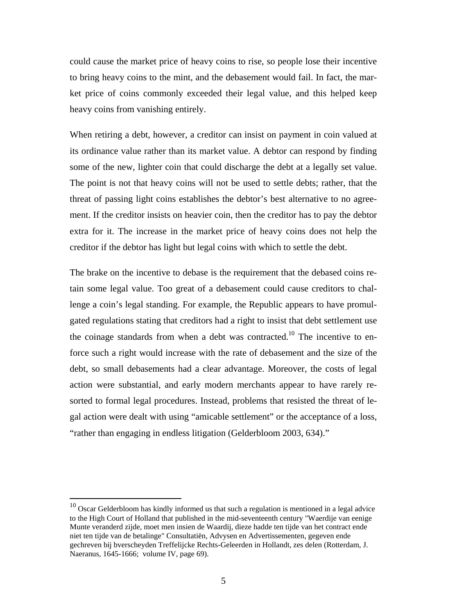could cause the market price of heavy coins to rise, so people lose their incentive to bring heavy coins to the mint, and the debasement would fail. In fact, the market price of coins commonly exceeded their legal value, and this helped keep heavy coins from vanishing entirely.

When retiring a debt, however, a creditor can insist on payment in coin valued at its ordinance value rather than its market value. A debtor can respond by finding some of the new, lighter coin that could discharge the debt at a legally set value. The point is not that heavy coins will not be used to settle debts; rather, that the threat of passing light coins establishes the debtor's best alternative to no agreement. If the creditor insists on heavier coin, then the creditor has to pay the debtor extra for it. The increase in the market price of heavy coins does not help the creditor if the debtor has light but legal coins with which to settle the debt.

The brake on the incentive to debase is the requirement that the debased coins retain some legal value. Too great of a debasement could cause creditors to challenge a coin's legal standing. For example, the Republic appears to have promulgated regulations stating that creditors had a right to insist that debt settlement use the coinage standards from when a debt was contracted.<sup>10</sup> The incentive to enforce such a right would increase with the rate of debasement and the size of the debt, so small debasements had a clear advantage. Moreover, the costs of legal action were substantial, and early modern merchants appear to have rarely resorted to formal legal procedures. Instead, problems that resisted the threat of legal action were dealt with using "amicable settlement" or the acceptance of a loss, "rather than engaging in endless litigation (Gelderbloom 2003, 634)."

 $10$  Oscar Gelderbloom has kindly informed us that such a regulation is mentioned in a legal advice to the High Court of Holland that published in the mid-seventeenth century "Waerdije van eenige Munte veranderd zijde, moet men insien de Waardij, dieze hadde ten tijde van het contract ende niet ten tijde van de betalinge" Consultatiën, Advysen en Advertissementen, gegeven ende gechreven bij bverscheyden Treffelijcke Rechts-Geleerden in Hollandt, zes delen (Rotterdam, J. Naeranus, 1645-1666; volume IV, page 69).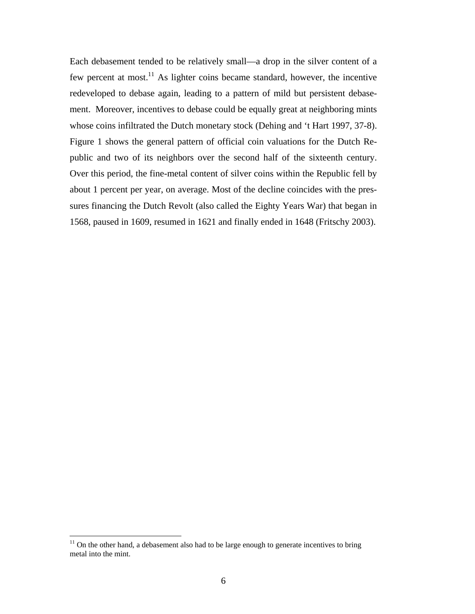Each debasement tended to be relatively small—a drop in the silver content of a few percent at most.<sup>11</sup> As lighter coins became standard, however, the incentive redeveloped to debase again, leading to a pattern of mild but persistent debasement. Moreover, incentives to debase could be equally great at neighboring mints whose coins infiltrated the Dutch monetary stock (Dehing and 't Hart 1997, 37-8). Figure 1 shows the general pattern of official coin valuations for the Dutch Republic and two of its neighbors over the second half of the sixteenth century. Over this period, the fine-metal content of silver coins within the Republic fell by about 1 percent per year, on average. Most of the decline coincides with the pressures financing the Dutch Revolt (also called the Eighty Years War) that began in 1568, paused in 1609, resumed in 1621 and finally ended in 1648 (Fritschy 2003).

1

 $11$  On the other hand, a debasement also had to be large enough to generate incentives to bring metal into the mint.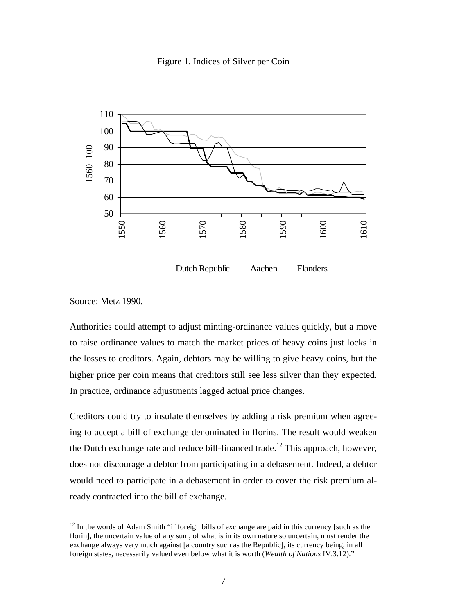Figure 1. Indices of Silver per Coin



Source: Metz 1990.

 $\overline{a}$ 

Authorities could attempt to adjust minting-ordinance values quickly, but a move to raise ordinance values to match the market prices of heavy coins just locks in the losses to creditors. Again, debtors may be willing to give heavy coins, but the higher price per coin means that creditors still see less silver than they expected. In practice, ordinance adjustments lagged actual price changes.

Creditors could try to insulate themselves by adding a risk premium when agreeing to accept a bill of exchange denominated in florins. The result would weaken the Dutch exchange rate and reduce bill-financed trade.<sup>12</sup> This approach, however, does not discourage a debtor from participating in a debasement. Indeed, a debtor would need to participate in a debasement in order to cover the risk premium already contracted into the bill of exchange.

 $12$  In the words of Adam Smith "if foreign bills of exchange are paid in this currency [such as the florin], the uncertain value of any sum, of what is in its own nature so uncertain, must render the exchange always very much against [a country such as the Republic], its currency being, in all foreign states, necessarily valued even below what it is worth (*Wealth of Nations* IV.3.12)."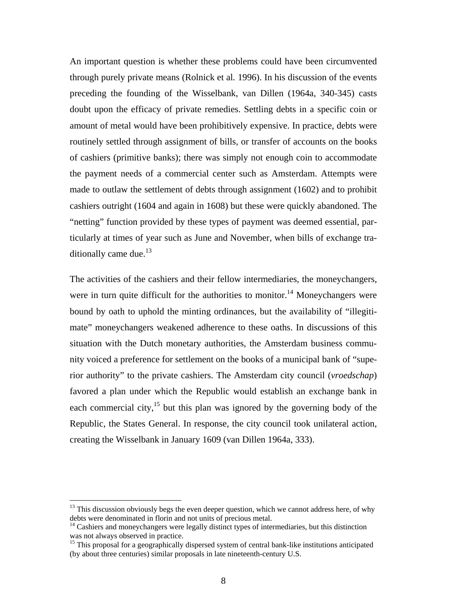An important question is whether these problems could have been circumvented through purely private means (Rolnick et al*.* 1996). In his discussion of the events preceding the founding of the Wisselbank, van Dillen (1964a, 340-345) casts doubt upon the efficacy of private remedies. Settling debts in a specific coin or amount of metal would have been prohibitively expensive. In practice, debts were routinely settled through assignment of bills, or transfer of accounts on the books of cashiers (primitive banks); there was simply not enough coin to accommodate the payment needs of a commercial center such as Amsterdam. Attempts were made to outlaw the settlement of debts through assignment (1602) and to prohibit cashiers outright (1604 and again in 1608) but these were quickly abandoned. The "netting" function provided by these types of payment was deemed essential, particularly at times of year such as June and November, when bills of exchange traditionally came due.<sup>13</sup>

The activities of the cashiers and their fellow intermediaries, the moneychangers, were in turn quite difficult for the authorities to monitor.<sup>14</sup> Moneychangers were bound by oath to uphold the minting ordinances, but the availability of "illegitimate" moneychangers weakened adherence to these oaths. In discussions of this situation with the Dutch monetary authorities, the Amsterdam business community voiced a preference for settlement on the books of a municipal bank of "superior authority" to the private cashiers. The Amsterdam city council (*vroedschap*) favored a plan under which the Republic would establish an exchange bank in each commercial city,<sup>15</sup> but this plan was ignored by the governing body of the Republic, the States General. In response, the city council took unilateral action, creating the Wisselbank in January 1609 (van Dillen 1964a, 333).

 $13$  This discussion obviously begs the even deeper question, which we cannot address here, of why debts were denominated in florin and not units of precious metal.

<sup>&</sup>lt;sup>14</sup> Cashiers and moneychangers were legally distinct types of intermediaries, but this distinction was not always observed in practice.

<sup>&</sup>lt;sup>15</sup> This proposal for a geographically dispersed system of central bank-like institutions anticipated (by about three centuries) similar proposals in late nineteenth-century U.S.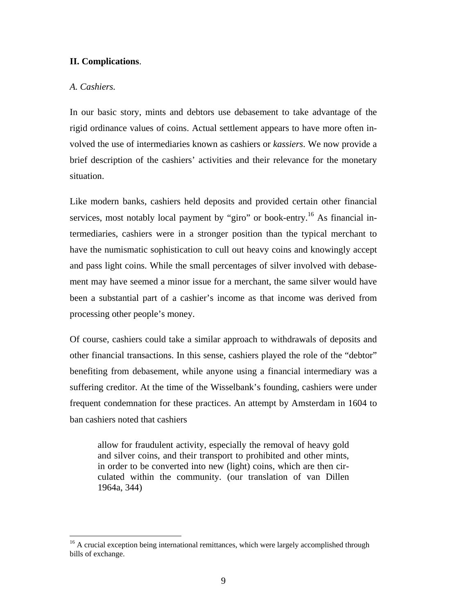# **II. Complications**.

# *A. Cashiers.*

1

In our basic story, mints and debtors use debasement to take advantage of the rigid ordinance values of coins. Actual settlement appears to have more often involved the use of intermediaries known as cashiers or *kassiers*. We now provide a brief description of the cashiers' activities and their relevance for the monetary situation.

Like modern banks, cashiers held deposits and provided certain other financial services, most notably local payment by "giro" or book-entry.<sup>16</sup> As financial intermediaries, cashiers were in a stronger position than the typical merchant to have the numismatic sophistication to cull out heavy coins and knowingly accept and pass light coins. While the small percentages of silver involved with debasement may have seemed a minor issue for a merchant, the same silver would have been a substantial part of a cashier's income as that income was derived from processing other people's money.

Of course, cashiers could take a similar approach to withdrawals of deposits and other financial transactions. In this sense, cashiers played the role of the "debtor" benefiting from debasement, while anyone using a financial intermediary was a suffering creditor. At the time of the Wisselbank's founding, cashiers were under frequent condemnation for these practices. An attempt by Amsterdam in 1604 to ban cashiers noted that cashiers

allow for fraudulent activity, especially the removal of heavy gold and silver coins, and their transport to prohibited and other mints, in order to be converted into new (light) coins, which are then circulated within the community. (our translation of van Dillen 1964a, 344)

<sup>&</sup>lt;sup>16</sup> A crucial exception being international remittances, which were largely accomplished through bills of exchange.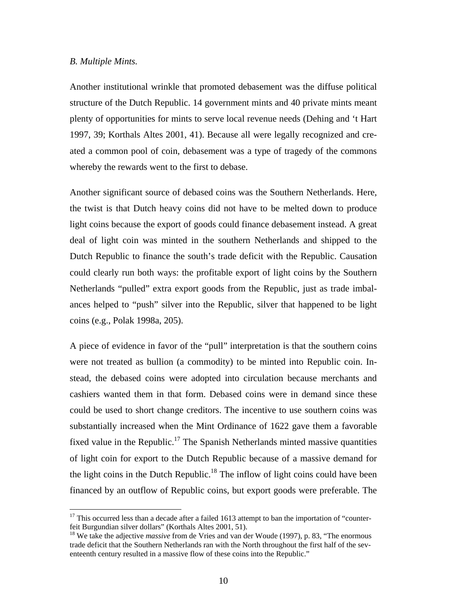#### *B. Multiple Mints.*

 $\overline{a}$ 

Another institutional wrinkle that promoted debasement was the diffuse political structure of the Dutch Republic. 14 government mints and 40 private mints meant plenty of opportunities for mints to serve local revenue needs (Dehing and 't Hart 1997, 39; Korthals Altes 2001, 41). Because all were legally recognized and created a common pool of coin, debasement was a type of tragedy of the commons whereby the rewards went to the first to debase.

Another significant source of debased coins was the Southern Netherlands. Here, the twist is that Dutch heavy coins did not have to be melted down to produce light coins because the export of goods could finance debasement instead. A great deal of light coin was minted in the southern Netherlands and shipped to the Dutch Republic to finance the south's trade deficit with the Republic. Causation could clearly run both ways: the profitable export of light coins by the Southern Netherlands "pulled" extra export goods from the Republic, just as trade imbalances helped to "push" silver into the Republic, silver that happened to be light coins (e.g., Polak 1998a, 205).

A piece of evidence in favor of the "pull" interpretation is that the southern coins were not treated as bullion (a commodity) to be minted into Republic coin. Instead, the debased coins were adopted into circulation because merchants and cashiers wanted them in that form. Debased coins were in demand since these could be used to short change creditors. The incentive to use southern coins was substantially increased when the Mint Ordinance of 1622 gave them a favorable fixed value in the Republic.<sup>17</sup> The Spanish Netherlands minted massive quantities of light coin for export to the Dutch Republic because of a massive demand for the light coins in the Dutch Republic.<sup>18</sup> The inflow of light coins could have been financed by an outflow of Republic coins, but export goods were preferable. The

 $17$  This occurred less than a decade after a failed 1613 attempt to ban the importation of "counterfeit Burgundian silver dollars" (Korthals Altes 2001, 51).<br><sup>18</sup> We take the adjective *massive* from de Vries and van der Woude (1997), p. 83, "The enormous

trade deficit that the Southern Netherlands ran with the North throughout the first half of the seventeenth century resulted in a massive flow of these coins into the Republic."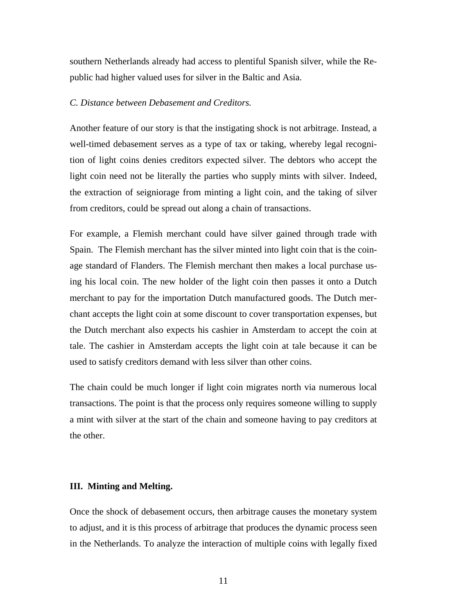southern Netherlands already had access to plentiful Spanish silver, while the Republic had higher valued uses for silver in the Baltic and Asia.

# *C. Distance between Debasement and Creditors.*

Another feature of our story is that the instigating shock is not arbitrage. Instead, a well-timed debasement serves as a type of tax or taking, whereby legal recognition of light coins denies creditors expected silver. The debtors who accept the light coin need not be literally the parties who supply mints with silver. Indeed, the extraction of seigniorage from minting a light coin, and the taking of silver from creditors, could be spread out along a chain of transactions.

For example, a Flemish merchant could have silver gained through trade with Spain. The Flemish merchant has the silver minted into light coin that is the coinage standard of Flanders. The Flemish merchant then makes a local purchase using his local coin. The new holder of the light coin then passes it onto a Dutch merchant to pay for the importation Dutch manufactured goods. The Dutch merchant accepts the light coin at some discount to cover transportation expenses, but the Dutch merchant also expects his cashier in Amsterdam to accept the coin at tale. The cashier in Amsterdam accepts the light coin at tale because it can be used to satisfy creditors demand with less silver than other coins.

The chain could be much longer if light coin migrates north via numerous local transactions. The point is that the process only requires someone willing to supply a mint with silver at the start of the chain and someone having to pay creditors at the other.

#### **III. Minting and Melting.**

Once the shock of debasement occurs, then arbitrage causes the monetary system to adjust, and it is this process of arbitrage that produces the dynamic process seen in the Netherlands. To analyze the interaction of multiple coins with legally fixed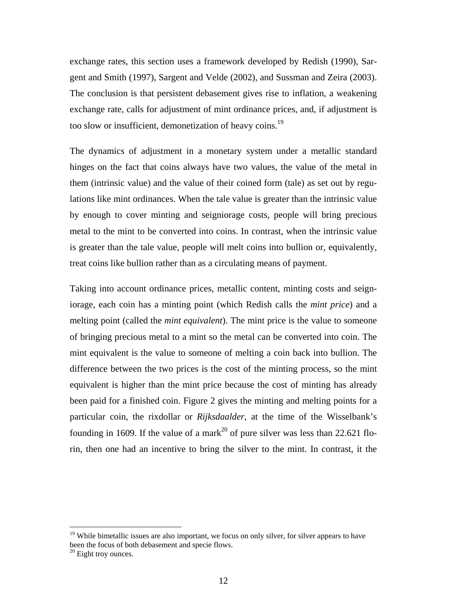exchange rates, this section uses a framework developed by Redish (1990), Sargent and Smith (1997), Sargent and Velde (2002), and Sussman and Zeira (2003). The conclusion is that persistent debasement gives rise to inflation, a weakening exchange rate, calls for adjustment of mint ordinance prices, and, if adjustment is too slow or insufficient, demonetization of heavy coins.<sup>19</sup>

The dynamics of adjustment in a monetary system under a metallic standard hinges on the fact that coins always have two values, the value of the metal in them (intrinsic value) and the value of their coined form (tale) as set out by regulations like mint ordinances. When the tale value is greater than the intrinsic value by enough to cover minting and seigniorage costs, people will bring precious metal to the mint to be converted into coins. In contrast, when the intrinsic value is greater than the tale value, people will melt coins into bullion or, equivalently, treat coins like bullion rather than as a circulating means of payment.

Taking into account ordinance prices, metallic content, minting costs and seigniorage, each coin has a minting point (which Redish calls the *mint price*) and a melting point (called the *mint equivalent*). The mint price is the value to someone of bringing precious metal to a mint so the metal can be converted into coin. The mint equivalent is the value to someone of melting a coin back into bullion. The difference between the two prices is the cost of the minting process, so the mint equivalent is higher than the mint price because the cost of minting has already been paid for a finished coin. Figure 2 gives the minting and melting points for a particular coin, the rixdollar or *Rijksdaalder*, at the time of the Wisselbank's founding in 1609. If the value of a mark<sup>20</sup> of pure silver was less than 22.621 florin, then one had an incentive to bring the silver to the mint. In contrast, it the

 $19$  While bimetallic issues are also important, we focus on only silver, for silver appears to have been the focus of both debasement and specie flows.<br><sup>20</sup> Eight troy ounces.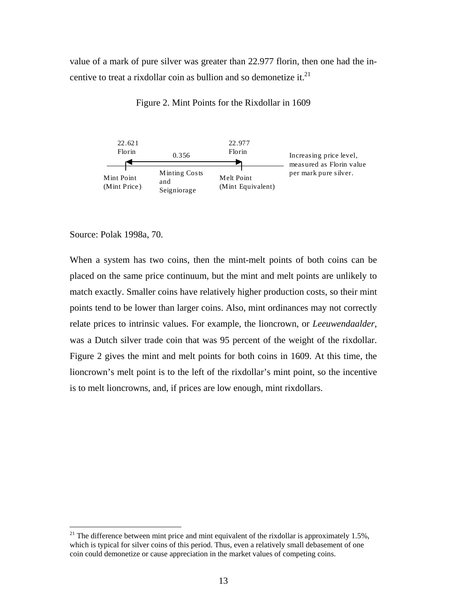value of a mark of pure silver was greater than 22.977 florin, then one had the incentive to treat a rixdollar coin as bullion and so demonetize it. $^{21}$ 



Figure 2. Mint Points for the Rixdollar in 1609

Source: Polak 1998a, 70.

 $\overline{a}$ 

When a system has two coins, then the mint-melt points of both coins can be placed on the same price continuum, but the mint and melt points are unlikely to match exactly. Smaller coins have relatively higher production costs, so their mint points tend to be lower than larger coins. Also, mint ordinances may not correctly relate prices to intrinsic values. For example, the lioncrown, or *Leeuwendaalder*, was a Dutch silver trade coin that was 95 percent of the weight of the rixdollar. Figure 2 gives the mint and melt points for both coins in 1609. At this time, the lioncrown's melt point is to the left of the rixdollar's mint point, so the incentive is to melt lioncrowns, and, if prices are low enough, mint rixdollars.

 $21$  The difference between mint price and mint equivalent of the rixdollar is approximately 1.5%, which is typical for silver coins of this period. Thus, even a relatively small debasement of one coin could demonetize or cause appreciation in the market values of competing coins.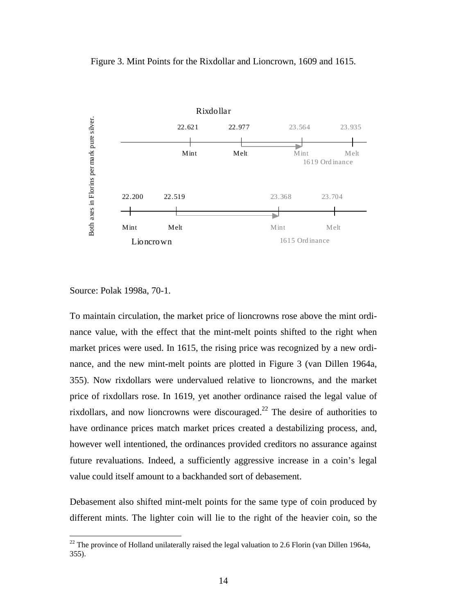

Figure 3. Mint Points for the Rixdollar and Lioncrown, 1609 and 1615.

Source: Polak 1998a, 70-1.

 $\overline{a}$ 

To maintain circulation, the market price of lioncrowns rose above the mint ordinance value, with the effect that the mint-melt points shifted to the right when market prices were used. In 1615, the rising price was recognized by a new ordinance, and the new mint-melt points are plotted in Figure 3 (van Dillen 1964a, 355). Now rixdollars were undervalued relative to lioncrowns, and the market price of rixdollars rose. In 1619, yet another ordinance raised the legal value of rixdollars, and now lioncrowns were discouraged.<sup>22</sup> The desire of authorities to have ordinance prices match market prices created a destabilizing process, and, however well intentioned, the ordinances provided creditors no assurance against future revaluations. Indeed, a sufficiently aggressive increase in a coin's legal value could itself amount to a backhanded sort of debasement.

Debasement also shifted mint-melt points for the same type of coin produced by different mints. The lighter coin will lie to the right of the heavier coin, so the

 $22$  The province of Holland unilaterally raised the legal valuation to 2.6 Florin (van Dillen 1964a, 355).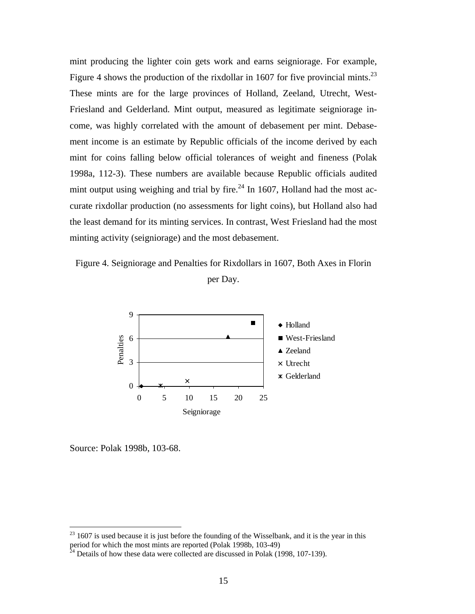mint producing the lighter coin gets work and earns seigniorage. For example, Figure 4 shows the production of the rixdollar in 1607 for five provincial mints.<sup>23</sup> These mints are for the large provinces of Holland, Zeeland, Utrecht, West-Friesland and Gelderland. Mint output, measured as legitimate seigniorage income, was highly correlated with the amount of debasement per mint. Debasement income is an estimate by Republic officials of the income derived by each mint for coins falling below official tolerances of weight and fineness (Polak 1998a, 112-3). These numbers are available because Republic officials audited mint output using weighing and trial by fire.<sup>24</sup> In 1607, Holland had the most accurate rixdollar production (no assessments for light coins), but Holland also had the least demand for its minting services. In contrast, West Friesland had the most minting activity (seigniorage) and the most debasement.



per Day.



Source: Polak 1998b, 103-68.

 $^{23}$  1607 is used because it is just before the founding of the Wisselbank, and it is the year in this period for which the most mints are reported (Polak 1998b, 103-49)

 $^{24}$  Details of how these data were collected are discussed in Polak (1998, 107-139).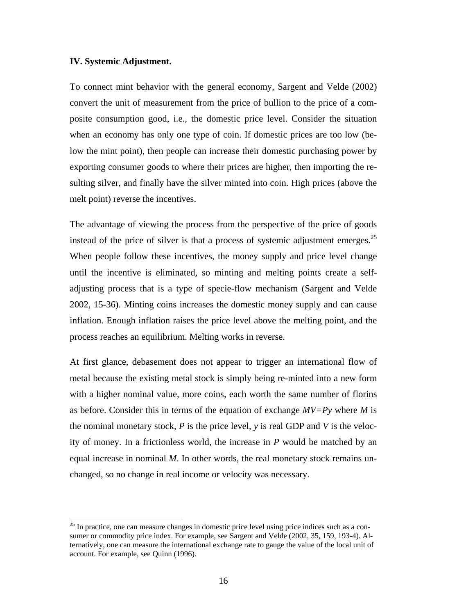# **IV. Systemic Adjustment.**

 $\overline{a}$ 

To connect mint behavior with the general economy, Sargent and Velde (2002) convert the unit of measurement from the price of bullion to the price of a composite consumption good, i.e., the domestic price level. Consider the situation when an economy has only one type of coin. If domestic prices are too low (below the mint point), then people can increase their domestic purchasing power by exporting consumer goods to where their prices are higher, then importing the resulting silver, and finally have the silver minted into coin. High prices (above the melt point) reverse the incentives.

The advantage of viewing the process from the perspective of the price of goods instead of the price of silver is that a process of systemic adjustment emerges.<sup>25</sup> When people follow these incentives, the money supply and price level change until the incentive is eliminated, so minting and melting points create a selfadjusting process that is a type of specie-flow mechanism (Sargent and Velde 2002, 15-36). Minting coins increases the domestic money supply and can cause inflation. Enough inflation raises the price level above the melting point, and the process reaches an equilibrium. Melting works in reverse.

At first glance, debasement does not appear to trigger an international flow of metal because the existing metal stock is simply being re-minted into a new form with a higher nominal value, more coins, each worth the same number of florins as before. Consider this in terms of the equation of exchange *MV=Py* where *M* is the nominal monetary stock, *P* is the price level, *y* is real GDP and *V* is the velocity of money. In a frictionless world, the increase in *P* would be matched by an equal increase in nominal  $M$ . In other words, the real monetary stock remains unchanged, so no change in real income or velocity was necessary.

 $25$  In practice, one can measure changes in domestic price level using price indices such as a consumer or commodity price index. For example, see Sargent and Velde (2002, 35, 159, 193-4). Alternatively, one can measure the international exchange rate to gauge the value of the local unit of account. For example, see Quinn (1996).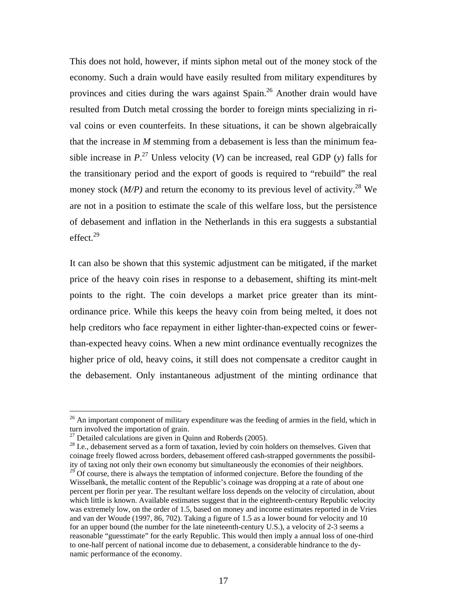This does not hold, however, if mints siphon metal out of the money stock of the economy. Such a drain would have easily resulted from military expenditures by provinces and cities during the wars against Spain.26 Another drain would have resulted from Dutch metal crossing the border to foreign mints specializing in rival coins or even counterfeits. In these situations, it can be shown algebraically that the increase in *M* stemming from a debasement is less than the minimum feasible increase in  $P^{27}$  Unless velocity (*V*) can be increased, real GDP (*y*) falls for the transitionary period and the export of goods is required to "rebuild" the real money stock  $(M/P)$  and return the economy to its previous level of activity.<sup>28</sup> We are not in a position to estimate the scale of this welfare loss, but the persistence of debasement and inflation in the Netherlands in this era suggests a substantial effect.29

It can also be shown that this systemic adjustment can be mitigated, if the market price of the heavy coin rises in response to a debasement, shifting its mint-melt points to the right. The coin develops a market price greater than its mintordinance price. While this keeps the heavy coin from being melted, it does not help creditors who face repayment in either lighter-than-expected coins or fewerthan-expected heavy coins. When a new mint ordinance eventually recognizes the higher price of old, heavy coins, it still does not compensate a creditor caught in the debasement. Only instantaneous adjustment of the minting ordinance that

 $26$  An important component of military expenditure was the feeding of armies in the field, which in turn involved the importation of grain.

 $^{27}$  Detailed calculations are given in Quinn and Roberds (2005).

 $28$  I.e., debasement served as a form of taxation, levied by coin holders on themselves. Given that coinage freely flowed across borders, debasement offered cash-strapped governments the possibility of taxing not only their own economy but simultaneously the economies of their neighbors.

 $29$  Of course, there is always the temptation of informed conjecture. Before the founding of the Wisselbank, the metallic content of the Republic's coinage was dropping at a rate of about one percent per florin per year. The resultant welfare loss depends on the velocity of circulation, about which little is known. Available estimates suggest that in the eighteenth-century Republic velocity was extremely low, on the order of 1.5, based on money and income estimates reported in de Vries and van der Woude (1997, 86, 702). Taking a figure of 1.5 as a lower bound for velocity and 10 for an upper bound (the number for the late nineteenth-century U.S.), a velocity of 2-3 seems a reasonable "guesstimate" for the early Republic. This would then imply a annual loss of one-third to one-half percent of national income due to debasement, a considerable hindrance to the dynamic performance of the economy.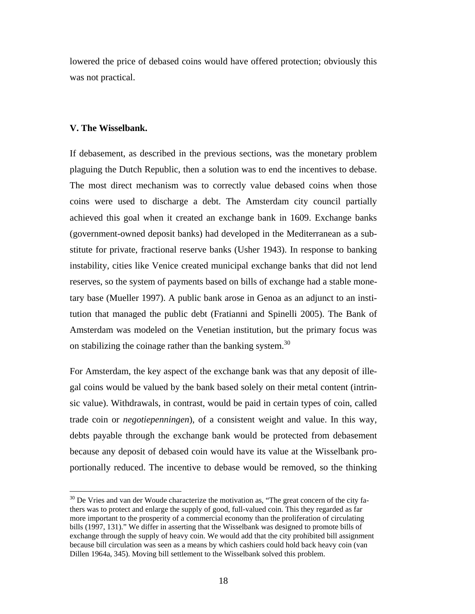lowered the price of debased coins would have offered protection; obviously this was not practical.

# **V. The Wisselbank.**

 $\overline{a}$ 

If debasement, as described in the previous sections, was the monetary problem plaguing the Dutch Republic, then a solution was to end the incentives to debase. The most direct mechanism was to correctly value debased coins when those coins were used to discharge a debt. The Amsterdam city council partially achieved this goal when it created an exchange bank in 1609. Exchange banks (government-owned deposit banks) had developed in the Mediterranean as a substitute for private, fractional reserve banks (Usher 1943). In response to banking instability, cities like Venice created municipal exchange banks that did not lend reserves, so the system of payments based on bills of exchange had a stable monetary base (Mueller 1997). A public bank arose in Genoa as an adjunct to an institution that managed the public debt (Fratianni and Spinelli 2005). The Bank of Amsterdam was modeled on the Venetian institution, but the primary focus was on stabilizing the coinage rather than the banking system.<sup>30</sup>

For Amsterdam, the key aspect of the exchange bank was that any deposit of illegal coins would be valued by the bank based solely on their metal content (intrinsic value). Withdrawals, in contrast, would be paid in certain types of coin, called trade coin or *negotiepenningen*), of a consistent weight and value. In this way, debts payable through the exchange bank would be protected from debasement because any deposit of debased coin would have its value at the Wisselbank proportionally reduced. The incentive to debase would be removed, so the thinking

<sup>&</sup>lt;sup>30</sup> De Vries and van der Woude characterize the motivation as, "The great concern of the city fathers was to protect and enlarge the supply of good, full-valued coin. This they regarded as far more important to the prosperity of a commercial economy than the proliferation of circulating bills (1997, 131)." We differ in asserting that the Wisselbank was designed to promote bills of exchange through the supply of heavy coin. We would add that the city prohibited bill assignment because bill circulation was seen as a means by which cashiers could hold back heavy coin (van Dillen 1964a, 345). Moving bill settlement to the Wisselbank solved this problem.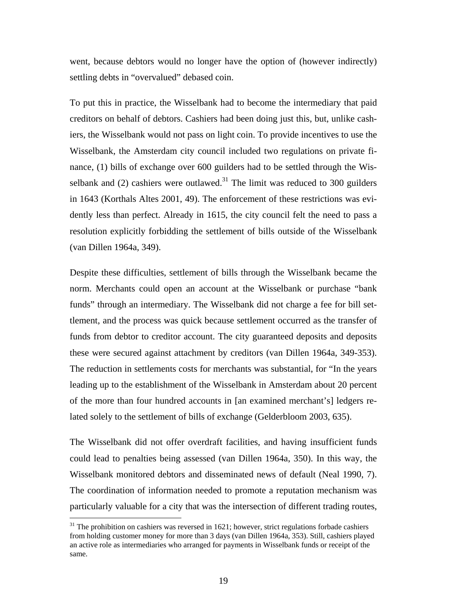went, because debtors would no longer have the option of (however indirectly) settling debts in "overvalued" debased coin.

To put this in practice, the Wisselbank had to become the intermediary that paid creditors on behalf of debtors. Cashiers had been doing just this, but, unlike cashiers, the Wisselbank would not pass on light coin. To provide incentives to use the Wisselbank, the Amsterdam city council included two regulations on private finance, (1) bills of exchange over 600 guilders had to be settled through the Wisselbank and (2) cashiers were outlawed. $31$  The limit was reduced to 300 guilders in 1643 (Korthals Altes 2001, 49). The enforcement of these restrictions was evidently less than perfect. Already in 1615, the city council felt the need to pass a resolution explicitly forbidding the settlement of bills outside of the Wisselbank (van Dillen 1964a, 349).

Despite these difficulties, settlement of bills through the Wisselbank became the norm. Merchants could open an account at the Wisselbank or purchase "bank funds" through an intermediary. The Wisselbank did not charge a fee for bill settlement, and the process was quick because settlement occurred as the transfer of funds from debtor to creditor account. The city guaranteed deposits and deposits these were secured against attachment by creditors (van Dillen 1964a, 349-353). The reduction in settlements costs for merchants was substantial, for "In the years leading up to the establishment of the Wisselbank in Amsterdam about 20 percent of the more than four hundred accounts in [an examined merchant's] ledgers related solely to the settlement of bills of exchange (Gelderbloom 2003, 635).

The Wisselbank did not offer overdraft facilities, and having insufficient funds could lead to penalties being assessed (van Dillen 1964a, 350). In this way, the Wisselbank monitored debtors and disseminated news of default (Neal 1990, 7). The coordination of information needed to promote a reputation mechanism was particularly valuable for a city that was the intersection of different trading routes,

 $31$  The prohibition on cashiers was reversed in 1621; however, strict regulations forbade cashiers from holding customer money for more than 3 days (van Dillen 1964a, 353). Still, cashiers played an active role as intermediaries who arranged for payments in Wisselbank funds or receipt of the same.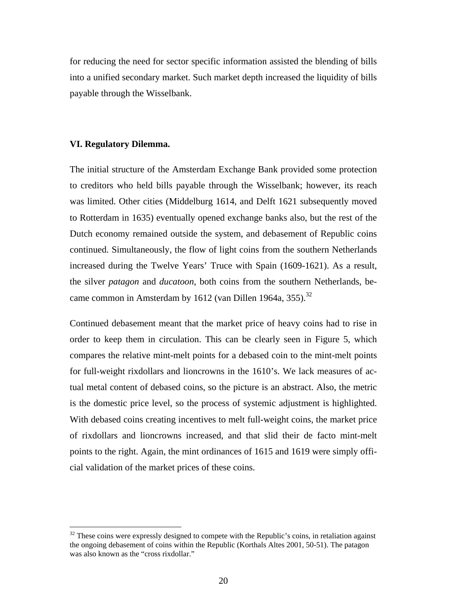for reducing the need for sector specific information assisted the blending of bills into a unified secondary market. Such market depth increased the liquidity of bills payable through the Wisselbank.

# **VI. Regulatory Dilemma.**

 $\overline{a}$ 

The initial structure of the Amsterdam Exchange Bank provided some protection to creditors who held bills payable through the Wisselbank; however, its reach was limited. Other cities (Middelburg 1614, and Delft 1621 subsequently moved to Rotterdam in 1635) eventually opened exchange banks also, but the rest of the Dutch economy remained outside the system, and debasement of Republic coins continued. Simultaneously, the flow of light coins from the southern Netherlands increased during the Twelve Years' Truce with Spain (1609-1621). As a result, the silver *patagon* and *ducatoon*, both coins from the southern Netherlands, became common in Amsterdam by 1612 (van Dillen 1964a, 355).<sup>32</sup>

Continued debasement meant that the market price of heavy coins had to rise in order to keep them in circulation. This can be clearly seen in Figure 5, which compares the relative mint-melt points for a debased coin to the mint-melt points for full-weight rixdollars and lioncrowns in the 1610's. We lack measures of actual metal content of debased coins, so the picture is an abstract. Also, the metric is the domestic price level, so the process of systemic adjustment is highlighted. With debased coins creating incentives to melt full-weight coins, the market price of rixdollars and lioncrowns increased, and that slid their de facto mint-melt points to the right. Again, the mint ordinances of 1615 and 1619 were simply official validation of the market prices of these coins.

 $32$  These coins were expressly designed to compete with the Republic's coins, in retaliation against the ongoing debasement of coins within the Republic (Korthals Altes 2001, 50-51). The patagon was also known as the "cross rixdollar."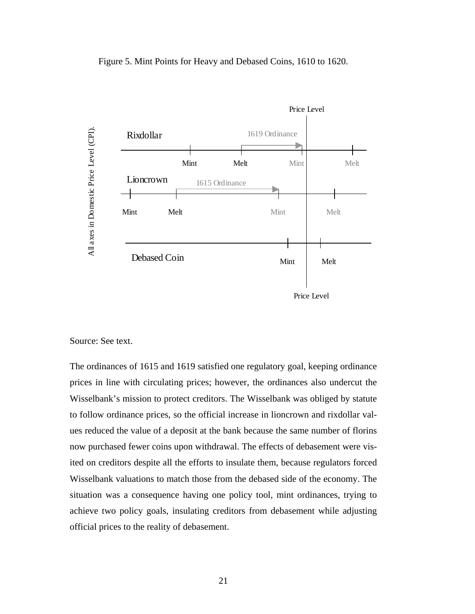

Figure 5. Mint Points for Heavy and Debased Coins, 1610 to 1620.

# Source: See text.

The ordinances of 1615 and 1619 satisfied one regulatory goal, keeping ordinance prices in line with circulating prices; however, the ordinances also undercut the Wisselbank's mission to protect creditors. The Wisselbank was obliged by statute to follow ordinance prices, so the official increase in lioncrown and rixdollar values reduced the value of a deposit at the bank because the same number of florins now purchased fewer coins upon withdrawal. The effects of debasement were visited on creditors despite all the efforts to insulate them, because regulators forced Wisselbank valuations to match those from the debased side of the economy. The situation was a consequence having one policy tool, mint ordinances, trying to achieve two policy goals, insulating creditors from debasement while adjusting official prices to the reality of debasement.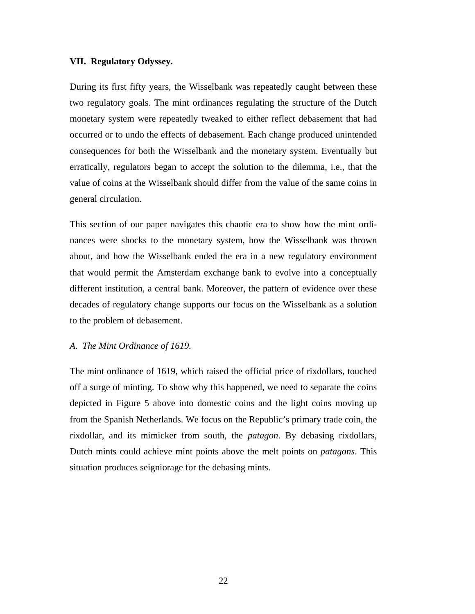# **VII. Regulatory Odyssey.**

During its first fifty years, the Wisselbank was repeatedly caught between these two regulatory goals. The mint ordinances regulating the structure of the Dutch monetary system were repeatedly tweaked to either reflect debasement that had occurred or to undo the effects of debasement. Each change produced unintended consequences for both the Wisselbank and the monetary system. Eventually but erratically, regulators began to accept the solution to the dilemma, i.e., that the value of coins at the Wisselbank should differ from the value of the same coins in general circulation.

This section of our paper navigates this chaotic era to show how the mint ordinances were shocks to the monetary system, how the Wisselbank was thrown about, and how the Wisselbank ended the era in a new regulatory environment that would permit the Amsterdam exchange bank to evolve into a conceptually different institution, a central bank. Moreover, the pattern of evidence over these decades of regulatory change supports our focus on the Wisselbank as a solution to the problem of debasement.

#### *A. The Mint Ordinance of 1619.*

The mint ordinance of 1619, which raised the official price of rixdollars, touched off a surge of minting. To show why this happened, we need to separate the coins depicted in Figure 5 above into domestic coins and the light coins moving up from the Spanish Netherlands. We focus on the Republic's primary trade coin, the rixdollar, and its mimicker from south, the *patagon*. By debasing rixdollars, Dutch mints could achieve mint points above the melt points on *patagons*. This situation produces seigniorage for the debasing mints.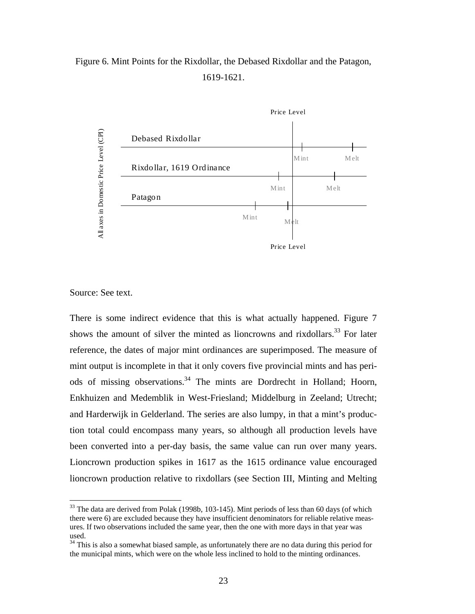Figure 6. Mint Points for the Rixdollar, the Debased Rixdollar and the Patagon, 1619-1621.



Source: See text.

 $\overline{a}$ 

There is some indirect evidence that this is what actually happened. Figure 7 shows the amount of silver the minted as lioncrowns and rixdollars.<sup>33</sup> For later reference, the dates of major mint ordinances are superimposed. The measure of mint output is incomplete in that it only covers five provincial mints and has periods of missing observations.<sup>34</sup> The mints are Dordrecht in Holland; Hoorn, Enkhuizen and Medemblik in West-Friesland; Middelburg in Zeeland; Utrecht; and Harderwijk in Gelderland. The series are also lumpy, in that a mint's production total could encompass many years, so although all production levels have been converted into a per-day basis, the same value can run over many years. Lioncrown production spikes in 1617 as the 1615 ordinance value encouraged lioncrown production relative to rixdollars (see Section III, Minting and Melting

 $33$  The data are derived from Polak (1998b, 103-145). Mint periods of less than 60 days (of which there were 6) are excluded because they have insufficient denominators for reliable relative measures. If two observations included the same year, then the one with more days in that year was used.

<sup>&</sup>lt;sup>34</sup> This is also a somewhat biased sample, as unfortunately there are no data during this period for the municipal mints, which were on the whole less inclined to hold to the minting ordinances.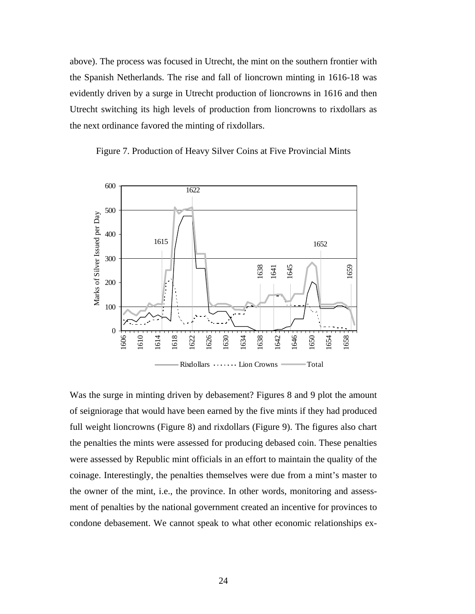above). The process was focused in Utrecht, the mint on the southern frontier with the Spanish Netherlands. The rise and fall of lioncrown minting in 1616-18 was evidently driven by a surge in Utrecht production of lioncrowns in 1616 and then Utrecht switching its high levels of production from lioncrowns to rixdollars as the next ordinance favored the minting of rixdollars.



Figure 7. Production of Heavy Silver Coins at Five Provincial Mints

Was the surge in minting driven by debasement? Figures 8 and 9 plot the amount of seigniorage that would have been earned by the five mints if they had produced full weight lioncrowns (Figure 8) and rixdollars (Figure 9). The figures also chart the penalties the mints were assessed for producing debased coin. These penalties were assessed by Republic mint officials in an effort to maintain the quality of the coinage. Interestingly, the penalties themselves were due from a mint's master to the owner of the mint, i.e., the province. In other words, monitoring and assessment of penalties by the national government created an incentive for provinces to condone debasement. We cannot speak to what other economic relationships ex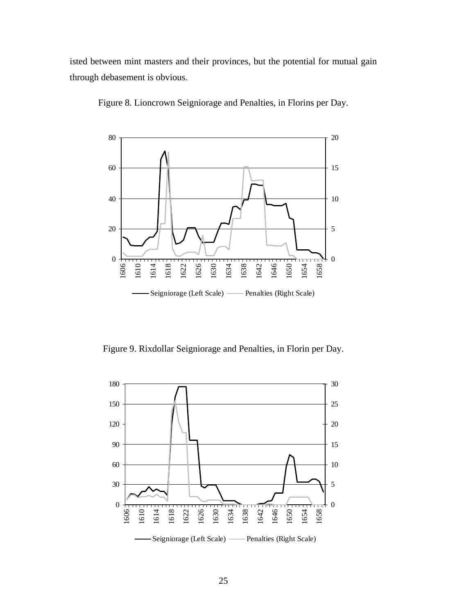isted between mint masters and their provinces, but the potential for mutual gain through debasement is obvious.



Figure 8. Lioncrown Seigniorage and Penalties, in Florins per Day.

Figure 9. Rixdollar Seigniorage and Penalties, in Florin per Day.

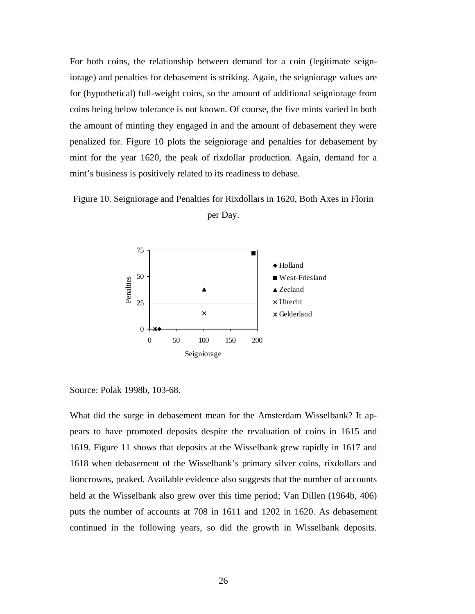For both coins, the relationship between demand for a coin (legitimate seigniorage) and penalties for debasement is striking. Again, the seigniorage values are for (hypothetical) full-weight coins, so the amount of additional seigniorage from coins being below tolerance is not known. Of course, the five mints varied in both the amount of minting they engaged in and the amount of debasement they were penalized for. Figure 10 plots the seigniorage and penalties for debasement by mint for the year 1620, the peak of rixdollar production. Again, demand for a mint's business is positively related to its readiness to debase.





Source: Polak 1998b, 103-68.

What did the surge in debasement mean for the Amsterdam Wisselbank? It appears to have promoted deposits despite the revaluation of coins in 1615 and 1619. Figure 11 shows that deposits at the Wisselbank grew rapidly in 1617 and 1618 when debasement of the Wisselbank's primary silver coins, rixdollars and lioncrowns, peaked. Available evidence also suggests that the number of accounts held at the Wisselbank also grew over this time period; Van Dillen (1964b, 406) puts the number of accounts at 708 in 1611 and 1202 in 1620. As debasement continued in the following years, so did the growth in Wisselbank deposits.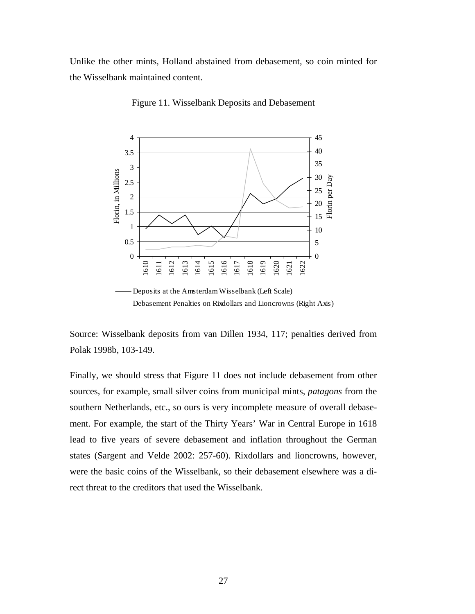Unlike the other mints, Holland abstained from debasement, so coin minted for the Wisselbank maintained content.



Figure 11. Wisselbank Deposits and Debasement

Source: Wisselbank deposits from van Dillen 1934, 117; penalties derived from Polak 1998b, 103-149.

Finally, we should stress that Figure 11 does not include debasement from other sources, for example, small silver coins from municipal mints, *patagons* from the southern Netherlands, etc., so ours is very incomplete measure of overall debasement. For example, the start of the Thirty Years' War in Central Europe in 1618 lead to five years of severe debasement and inflation throughout the German states (Sargent and Velde 2002: 257-60). Rixdollars and lioncrowns, however, were the basic coins of the Wisselbank, so their debasement elsewhere was a direct threat to the creditors that used the Wisselbank.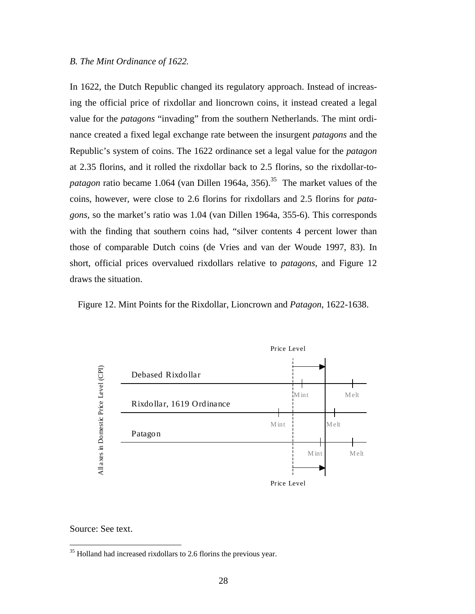# *B. The Mint Ordinance of 1622.*

In 1622, the Dutch Republic changed its regulatory approach. Instead of increasing the official price of rixdollar and lioncrown coins, it instead created a legal value for the *patagons* "invading" from the southern Netherlands. The mint ordinance created a fixed legal exchange rate between the insurgent *patagons* and the Republic's system of coins. The 1622 ordinance set a legal value for the *patagon* at 2.35 florins, and it rolled the rixdollar back to 2.5 florins, so the rixdollar-to*patagon* ratio became 1.064 (van Dillen 1964a, 356).<sup>35</sup> The market values of the coins, however, were close to 2.6 florins for rixdollars and 2.5 florins for *patagons*, so the market's ratio was 1.04 (van Dillen 1964a, 355-6). This corresponds with the finding that southern coins had, "silver contents 4 percent lower than those of comparable Dutch coins (de Vries and van der Woude 1997, 83). In short, official prices overvalued rixdollars relative to *patagons*, and Figure 12 draws the situation.

Figure 12. Mint Points for the Rixdollar, Lioncrown and *Patagon*, 1622-1638.



Source: See text.

<sup>&</sup>lt;sup>35</sup> Holland had increased rixdollars to 2.6 florins the previous year.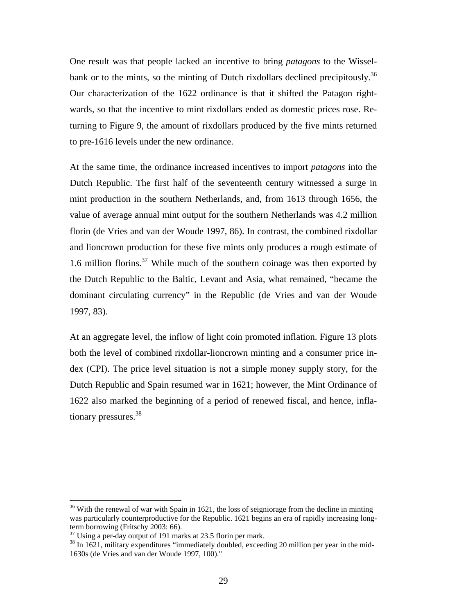One result was that people lacked an incentive to bring *patagons* to the Wisselbank or to the mints, so the minting of Dutch rixdollars declined precipitously.<sup>36</sup> Our characterization of the 1622 ordinance is that it shifted the Patagon rightwards, so that the incentive to mint rixdollars ended as domestic prices rose. Returning to Figure 9, the amount of rixdollars produced by the five mints returned to pre-1616 levels under the new ordinance.

At the same time, the ordinance increased incentives to import *patagons* into the Dutch Republic. The first half of the seventeenth century witnessed a surge in mint production in the southern Netherlands, and, from 1613 through 1656, the value of average annual mint output for the southern Netherlands was 4.2 million florin (de Vries and van der Woude 1997, 86). In contrast, the combined rixdollar and lioncrown production for these five mints only produces a rough estimate of 1.6 million florins.<sup>37</sup> While much of the southern coinage was then exported by the Dutch Republic to the Baltic, Levant and Asia, what remained, "became the dominant circulating currency" in the Republic (de Vries and van der Woude 1997, 83).

At an aggregate level, the inflow of light coin promoted inflation. Figure 13 plots both the level of combined rixdollar-lioncrown minting and a consumer price index (CPI). The price level situation is not a simple money supply story, for the Dutch Republic and Spain resumed war in 1621; however, the Mint Ordinance of 1622 also marked the beginning of a period of renewed fiscal, and hence, inflationary pressures.<sup>38</sup>

<sup>&</sup>lt;sup>36</sup> With the renewal of war with Spain in 1621, the loss of seigniorage from the decline in minting was particularly counterproductive for the Republic. 1621 begins an era of rapidly increasing longterm borrowing (Fritschy 2003: 66).

 $37$  Using a per-day output of 191 marks at 23.5 florin per mark.

<sup>&</sup>lt;sup>38</sup> In 1621, military expenditures "immediately doubled, exceeding 20 million per year in the mid-1630s (de Vries and van der Woude 1997, 100)."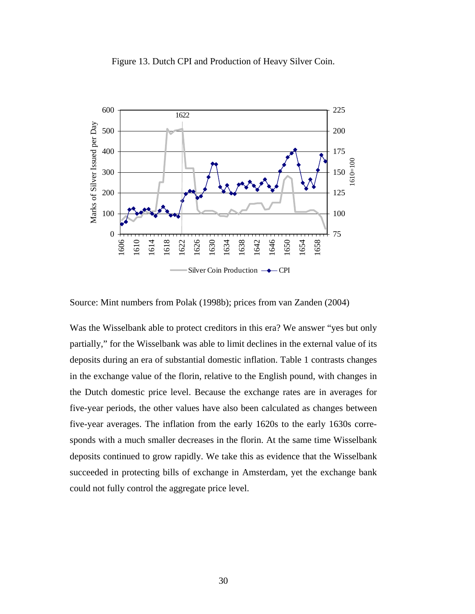

Silver Coin Production  $\rightarrow$  CPI

Figure 13. Dutch CPI and Production of Heavy Silver Coin.

Source: Mint numbers from Polak (1998b); prices from van Zanden (2004)

Was the Wisselbank able to protect creditors in this era? We answer "yes but only partially," for the Wisselbank was able to limit declines in the external value of its deposits during an era of substantial domestic inflation. Table 1 contrasts changes in the exchange value of the florin, relative to the English pound, with changes in the Dutch domestic price level. Because the exchange rates are in averages for five-year periods, the other values have also been calculated as changes between five-year averages. The inflation from the early 1620s to the early 1630s corresponds with a much smaller decreases in the florin. At the same time Wisselbank deposits continued to grow rapidly. We take this as evidence that the Wisselbank succeeded in protecting bills of exchange in Amsterdam, yet the exchange bank could not fully control the aggregate price level.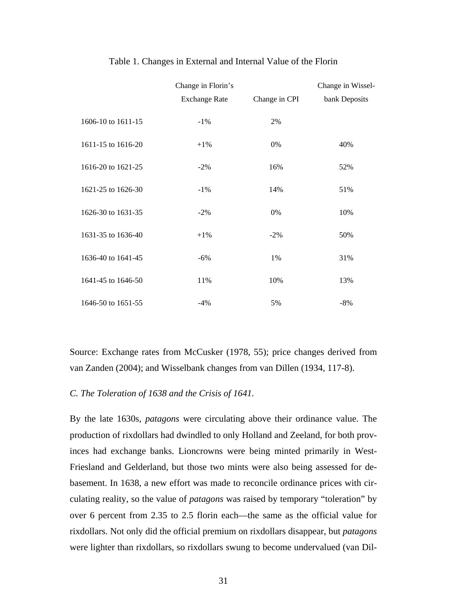|                    | Change in Florin's   | Change in Wissel- |               |
|--------------------|----------------------|-------------------|---------------|
|                    | <b>Exchange Rate</b> | Change in CPI     | bank Deposits |
| 1606-10 to 1611-15 | $-1\%$               | 2%                |               |
| 1611-15 to 1616-20 | $+1\%$               | 0%                | 40%           |
| 1616-20 to 1621-25 | $-2\%$               | 16%               | 52%           |
| 1621-25 to 1626-30 | $-1\%$               | 14%               | 51%           |
| 1626-30 to 1631-35 | $-2\%$               | 0%                | 10%           |
| 1631-35 to 1636-40 | $+1\%$               | $-2\%$            | 50%           |
| 1636-40 to 1641-45 | $-6%$                | 1%                | 31%           |
| 1641-45 to 1646-50 | 11%                  | 10%               | 13%           |
| 1646-50 to 1651-55 | $-4%$                | 5%                | $-8%$         |

#### Table 1. Changes in External and Internal Value of the Florin

Source: Exchange rates from McCusker (1978, 55); price changes derived from van Zanden (2004); and Wisselbank changes from van Dillen (1934, 117-8).

# *C. The Toleration of 1638 and the Crisis of 1641.*

By the late 1630s, *patagons* were circulating above their ordinance value. The production of rixdollars had dwindled to only Holland and Zeeland, for both provinces had exchange banks. Lioncrowns were being minted primarily in West-Friesland and Gelderland, but those two mints were also being assessed for debasement. In 1638, a new effort was made to reconcile ordinance prices with circulating reality, so the value of *patagons* was raised by temporary "toleration" by over 6 percent from 2.35 to 2.5 florin each—the same as the official value for rixdollars. Not only did the official premium on rixdollars disappear, but *patagons* were lighter than rixdollars, so rixdollars swung to become undervalued (van Dil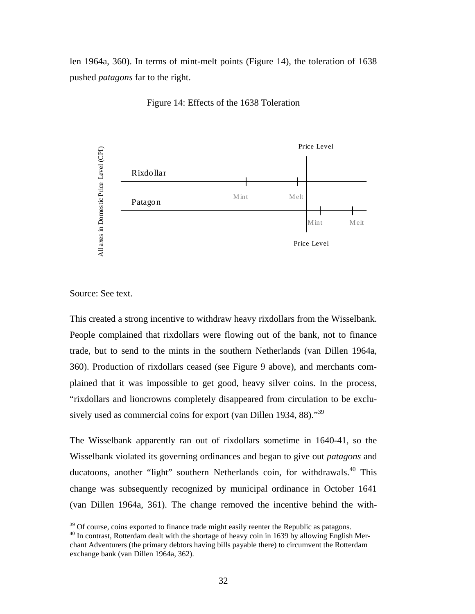len 1964a, 360). In terms of mint-melt points (Figure 14), the toleration of 1638 pushed *patagons* far to the right.

Price Level All axes in Domestic Price Level (CPI) All axes in Domestic Price Level (CPI) Rixdollar M int Melt Patagon M int Melt Price Level

Figure 14: Effects of the 1638 Toleration

Source: See text.

This created a strong incentive to withdraw heavy rixdollars from the Wisselbank. People complained that rixdollars were flowing out of the bank, not to finance trade, but to send to the mints in the southern Netherlands (van Dillen 1964a, 360). Production of rixdollars ceased (see Figure 9 above), and merchants complained that it was impossible to get good, heavy silver coins. In the process, "rixdollars and lioncrowns completely disappeared from circulation to be exclusively used as commercial coins for export (van Dillen 1934, 88).<sup>39</sup>

The Wisselbank apparently ran out of rixdollars sometime in 1640-41, so the Wisselbank violated its governing ordinances and began to give out *patagons* and ducatoons, another "light" southern Netherlands coin, for withdrawals.<sup>40</sup> This change was subsequently recognized by municipal ordinance in October 1641 (van Dillen 1964a, 361). The change removed the incentive behind the with-

<sup>&</sup>lt;sup>39</sup> Of course, coins exported to finance trade might easily reenter the Republic as patagons.

 $30$  In contrast, Rotterdam dealt with the shortage of heavy coin in 1639 by allowing English Merchant Adventurers (the primary debtors having bills payable there) to circumvent the Rotterdam exchange bank (van Dillen 1964a, 362).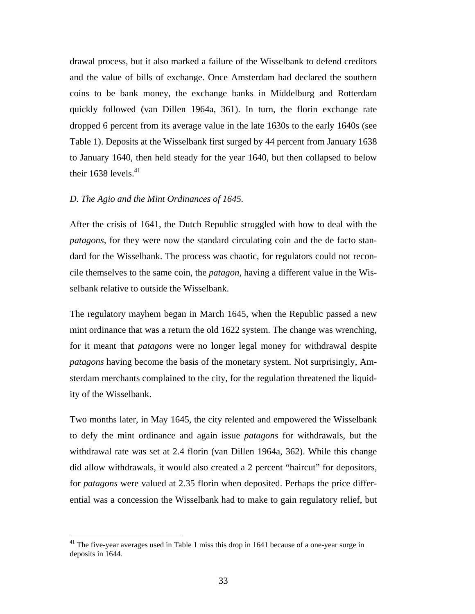drawal process, but it also marked a failure of the Wisselbank to defend creditors and the value of bills of exchange. Once Amsterdam had declared the southern coins to be bank money, the exchange banks in Middelburg and Rotterdam quickly followed (van Dillen 1964a, 361). In turn, the florin exchange rate dropped 6 percent from its average value in the late 1630s to the early 1640s (see Table 1). Deposits at the Wisselbank first surged by 44 percent from January 1638 to January 1640, then held steady for the year 1640, but then collapsed to below their 1638 levels. $41$ 

#### *D. The Agio and the Mint Ordinances of 1645.*

After the crisis of 1641, the Dutch Republic struggled with how to deal with the *patagons*, for they were now the standard circulating coin and the de facto standard for the Wisselbank. The process was chaotic, for regulators could not reconcile themselves to the same coin, the *patagon*, having a different value in the Wisselbank relative to outside the Wisselbank.

The regulatory mayhem began in March 1645, when the Republic passed a new mint ordinance that was a return the old 1622 system. The change was wrenching, for it meant that *patagons* were no longer legal money for withdrawal despite *patagons* having become the basis of the monetary system. Not surprisingly, Amsterdam merchants complained to the city, for the regulation threatened the liquidity of the Wisselbank.

Two months later, in May 1645, the city relented and empowered the Wisselbank to defy the mint ordinance and again issue *patagons* for withdrawals, but the withdrawal rate was set at 2.4 florin (van Dillen 1964a, 362). While this change did allow withdrawals, it would also created a 2 percent "haircut" for depositors, for *patagons* were valued at 2.35 florin when deposited. Perhaps the price differential was a concession the Wisselbank had to make to gain regulatory relief, but

1

 $41$  The five-year averages used in Table 1 miss this drop in 1641 because of a one-year surge in deposits in 1644.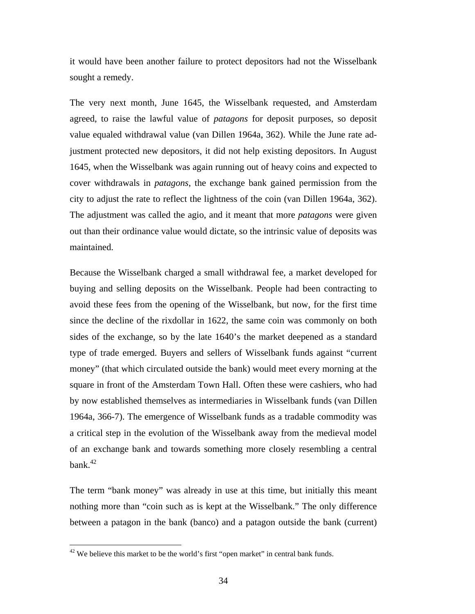it would have been another failure to protect depositors had not the Wisselbank sought a remedy.

The very next month, June 1645, the Wisselbank requested, and Amsterdam agreed, to raise the lawful value of *patagons* for deposit purposes, so deposit value equaled withdrawal value (van Dillen 1964a, 362). While the June rate adjustment protected new depositors, it did not help existing depositors. In August 1645, when the Wisselbank was again running out of heavy coins and expected to cover withdrawals in *patagons*, the exchange bank gained permission from the city to adjust the rate to reflect the lightness of the coin (van Dillen 1964a, 362). The adjustment was called the agio, and it meant that more *patagons* were given out than their ordinance value would dictate, so the intrinsic value of deposits was maintained.

Because the Wisselbank charged a small withdrawal fee, a market developed for buying and selling deposits on the Wisselbank. People had been contracting to avoid these fees from the opening of the Wisselbank, but now, for the first time since the decline of the rixdollar in 1622, the same coin was commonly on both sides of the exchange, so by the late 1640's the market deepened as a standard type of trade emerged. Buyers and sellers of Wisselbank funds against "current money" (that which circulated outside the bank) would meet every morning at the square in front of the Amsterdam Town Hall. Often these were cashiers, who had by now established themselves as intermediaries in Wisselbank funds (van Dillen 1964a, 366-7). The emergence of Wisselbank funds as a tradable commodity was a critical step in the evolution of the Wisselbank away from the medieval model of an exchange bank and towards something more closely resembling a central bank.<sup>42</sup>

The term "bank money" was already in use at this time, but initially this meant nothing more than "coin such as is kept at the Wisselbank." The only difference between a patagon in the bank (banco) and a patagon outside the bank (current)

 $42$  We believe this market to be the world's first "open market" in central bank funds.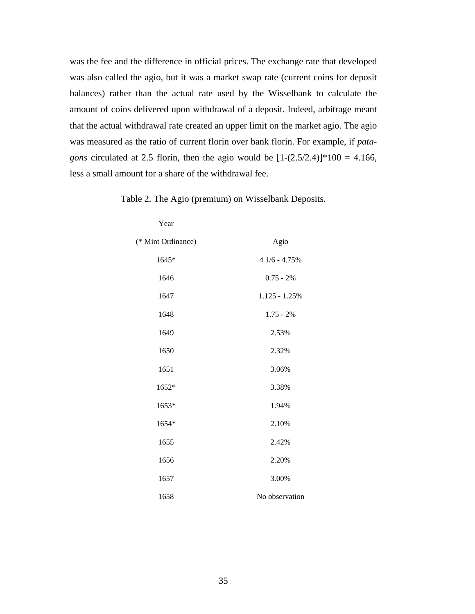was the fee and the difference in official prices. The exchange rate that developed was also called the agio, but it was a market swap rate (current coins for deposit balances) rather than the actual rate used by the Wisselbank to calculate the amount of coins delivered upon withdrawal of a deposit. Indeed, arbitrage meant that the actual withdrawal rate created an upper limit on the market agio. The agio was measured as the ratio of current florin over bank florin. For example, if *patagons* circulated at 2.5 florin, then the agio would be  $[1-(2.5/2.4)]*100 = 4.166$ , less a small amount for a share of the withdrawal fee.

|  |  |  |  | Table 2. The Agio (premium) on Wisselbank Deposits. |  |
|--|--|--|--|-----------------------------------------------------|--|
|--|--|--|--|-----------------------------------------------------|--|

Year

| (* Mint Ordinance) | Agio           |  |  |
|--------------------|----------------|--|--|
| 1645*              | $41/6 - 4.75%$ |  |  |
| 1646               | $0.75 - 2%$    |  |  |
| 1647               | 1.125 - 1.25%  |  |  |
| 1648               | $1.75 - 2\%$   |  |  |
| 1649               | 2.53%          |  |  |
| 1650               | 2.32%          |  |  |
| 1651               | 3.06%          |  |  |
| 1652*              | 3.38%          |  |  |
| $1653*$            | 1.94%          |  |  |
| 1654*              | 2.10%          |  |  |
| 1655               | 2.42%          |  |  |
| 1656               | 2.20%          |  |  |
| 1657               | 3.00%          |  |  |
| 1658               | No observation |  |  |

35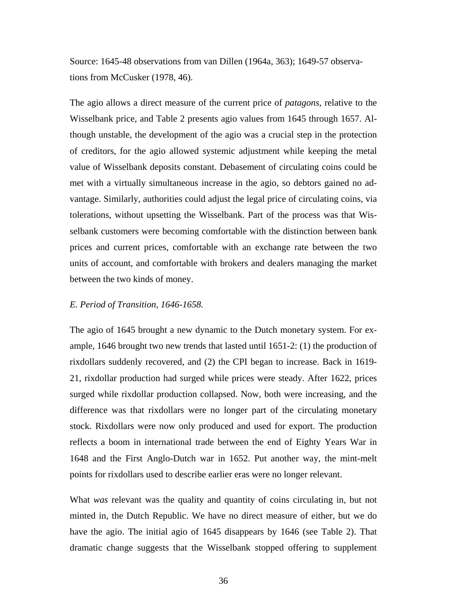Source: 1645-48 observations from van Dillen (1964a, 363); 1649-57 observations from McCusker (1978, 46).

The agio allows a direct measure of the current price of *patagons*, relative to the Wisselbank price, and Table 2 presents agio values from 1645 through 1657. Although unstable, the development of the agio was a crucial step in the protection of creditors, for the agio allowed systemic adjustment while keeping the metal value of Wisselbank deposits constant. Debasement of circulating coins could be met with a virtually simultaneous increase in the agio, so debtors gained no advantage. Similarly, authorities could adjust the legal price of circulating coins, via tolerations, without upsetting the Wisselbank. Part of the process was that Wisselbank customers were becoming comfortable with the distinction between bank prices and current prices, comfortable with an exchange rate between the two units of account, and comfortable with brokers and dealers managing the market between the two kinds of money.

# *E. Period of Transition, 1646-1658.*

The agio of 1645 brought a new dynamic to the Dutch monetary system. For example, 1646 brought two new trends that lasted until 1651-2: (1) the production of rixdollars suddenly recovered, and (2) the CPI began to increase. Back in 1619- 21, rixdollar production had surged while prices were steady. After 1622, prices surged while rixdollar production collapsed. Now, both were increasing, and the difference was that rixdollars were no longer part of the circulating monetary stock. Rixdollars were now only produced and used for export. The production reflects a boom in international trade between the end of Eighty Years War in 1648 and the First Anglo-Dutch war in 1652. Put another way, the mint-melt points for rixdollars used to describe earlier eras were no longer relevant.

What *was* relevant was the quality and quantity of coins circulating in, but not minted in, the Dutch Republic. We have no direct measure of either, but we do have the agio. The initial agio of 1645 disappears by 1646 (see Table 2). That dramatic change suggests that the Wisselbank stopped offering to supplement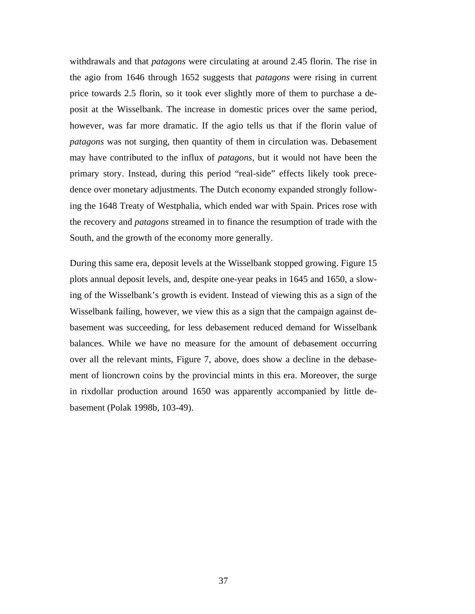withdrawals and that *patagons* were circulating at around 2.45 florin. The rise in the agio from 1646 through 1652 suggests that *patagons* were rising in current price towards 2.5 florin, so it took ever slightly more of them to purchase a deposit at the Wisselbank. The increase in domestic prices over the same period, however, was far more dramatic. If the agio tells us that if the florin value of *patagons* was not surging, then quantity of them in circulation was. Debasement may have contributed to the influx of *patagons*, but it would not have been the primary story. Instead, during this period "real-side" effects likely took precedence over monetary adjustments. The Dutch economy expanded strongly following the 1648 Treaty of Westphalia, which ended war with Spain. Prices rose with the recovery and *patagons* streamed in to finance the resumption of trade with the South, and the growth of the economy more generally.

During this same era, deposit levels at the Wisselbank stopped growing. Figure 15 plots annual deposit levels, and, despite one-year peaks in 1645 and 1650, a slowing of the Wisselbank's growth is evident. Instead of viewing this as a sign of the Wisselbank failing, however, we view this as a sign that the campaign against debasement was succeeding, for less debasement reduced demand for Wisselbank balances. While we have no measure for the amount of debasement occurring over all the relevant mints, Figure 7, above, does show a decline in the debasement of lioncrown coins by the provincial mints in this era. Moreover, the surge in rixdollar production around 1650 was apparently accompanied by little debasement (Polak 1998b, 103-49).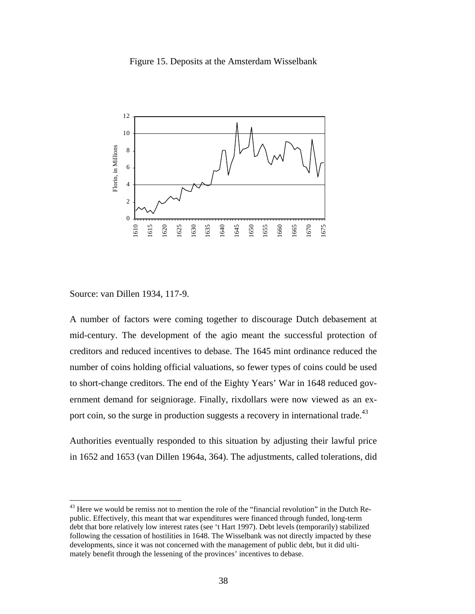#### Figure 15. Deposits at the Amsterdam Wisselbank



Source: van Dillen 1934, 117-9.

 $\overline{a}$ 

A number of factors were coming together to discourage Dutch debasement at mid-century. The development of the agio meant the successful protection of creditors and reduced incentives to debase. The 1645 mint ordinance reduced the number of coins holding official valuations, so fewer types of coins could be used to short-change creditors. The end of the Eighty Years' War in 1648 reduced government demand for seigniorage. Finally, rixdollars were now viewed as an export coin, so the surge in production suggests a recovery in international trade.<sup>43</sup>

Authorities eventually responded to this situation by adjusting their lawful price in 1652 and 1653 (van Dillen 1964a, 364). The adjustments, called tolerations, did

<sup>&</sup>lt;sup>43</sup> Here we would be remiss not to mention the role of the "financial revolution" in the Dutch Republic. Effectively, this meant that war expenditures were financed through funded, long-term debt that bore relatively low interest rates (see 't Hart 1997). Debt levels (temporarily) stabilized following the cessation of hostilities in 1648. The Wisselbank was not directly impacted by these developments, since it was not concerned with the management of public debt, but it did ultimately benefit through the lessening of the provinces' incentives to debase.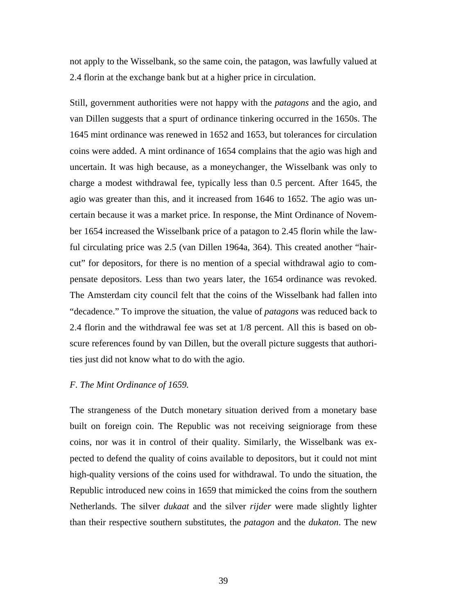not apply to the Wisselbank, so the same coin, the patagon, was lawfully valued at 2.4 florin at the exchange bank but at a higher price in circulation.

Still, government authorities were not happy with the *patagons* and the agio, and van Dillen suggests that a spurt of ordinance tinkering occurred in the 1650s. The 1645 mint ordinance was renewed in 1652 and 1653, but tolerances for circulation coins were added. A mint ordinance of 1654 complains that the agio was high and uncertain. It was high because, as a moneychanger, the Wisselbank was only to charge a modest withdrawal fee, typically less than 0.5 percent. After 1645, the agio was greater than this, and it increased from 1646 to 1652. The agio was uncertain because it was a market price. In response, the Mint Ordinance of November 1654 increased the Wisselbank price of a patagon to 2.45 florin while the lawful circulating price was 2.5 (van Dillen 1964a, 364). This created another "haircut" for depositors, for there is no mention of a special withdrawal agio to compensate depositors. Less than two years later, the 1654 ordinance was revoked. The Amsterdam city council felt that the coins of the Wisselbank had fallen into "decadence." To improve the situation, the value of *patagons* was reduced back to 2.4 florin and the withdrawal fee was set at 1/8 percent. All this is based on obscure references found by van Dillen, but the overall picture suggests that authorities just did not know what to do with the agio.

# *F. The Mint Ordinance of 1659.*

The strangeness of the Dutch monetary situation derived from a monetary base built on foreign coin. The Republic was not receiving seigniorage from these coins, nor was it in control of their quality. Similarly, the Wisselbank was expected to defend the quality of coins available to depositors, but it could not mint high-quality versions of the coins used for withdrawal. To undo the situation, the Republic introduced new coins in 1659 that mimicked the coins from the southern Netherlands. The silver *dukaat* and the silver *rijder* were made slightly lighter than their respective southern substitutes, the *patagon* and the *dukaton*. The new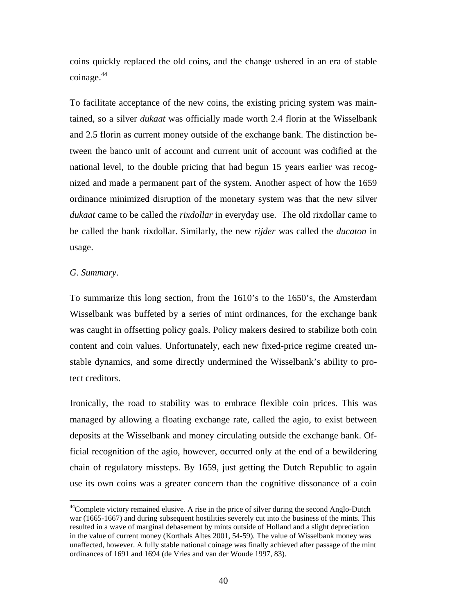coins quickly replaced the old coins, and the change ushered in an era of stable  $\text{coinage.}^{44}$ 

To facilitate acceptance of the new coins, the existing pricing system was maintained, so a silver *dukaat* was officially made worth 2.4 florin at the Wisselbank and 2.5 florin as current money outside of the exchange bank. The distinction between the banco unit of account and current unit of account was codified at the national level, to the double pricing that had begun 15 years earlier was recognized and made a permanent part of the system. Another aspect of how the 1659 ordinance minimized disruption of the monetary system was that the new silver *dukaat* came to be called the *rixdollar* in everyday use. The old rixdollar came to be called the bank rixdollar. Similarly, the new *rijder* was called the *ducaton* in usage.

# *G. Summary*.

 $\overline{a}$ 

To summarize this long section, from the 1610's to the 1650's, the Amsterdam Wisselbank was buffeted by a series of mint ordinances, for the exchange bank was caught in offsetting policy goals. Policy makers desired to stabilize both coin content and coin values. Unfortunately, each new fixed-price regime created unstable dynamics, and some directly undermined the Wisselbank's ability to protect creditors.

Ironically, the road to stability was to embrace flexible coin prices. This was managed by allowing a floating exchange rate, called the agio, to exist between deposits at the Wisselbank and money circulating outside the exchange bank. Official recognition of the agio, however, occurred only at the end of a bewildering chain of regulatory missteps. By 1659, just getting the Dutch Republic to again use its own coins was a greater concern than the cognitive dissonance of a coin

 $44$ Complete victory remained elusive. A rise in the price of silver during the second Anglo-Dutch war (1665-1667) and during subsequent hostilities severely cut into the business of the mints. This resulted in a wave of marginal debasement by mints outside of Holland and a slight depreciation in the value of current money (Korthals Altes 2001, 54-59). The value of Wisselbank money was unaffected, however. A fully stable national coinage was finally achieved after passage of the mint ordinances of 1691 and 1694 (de Vries and van der Woude 1997, 83).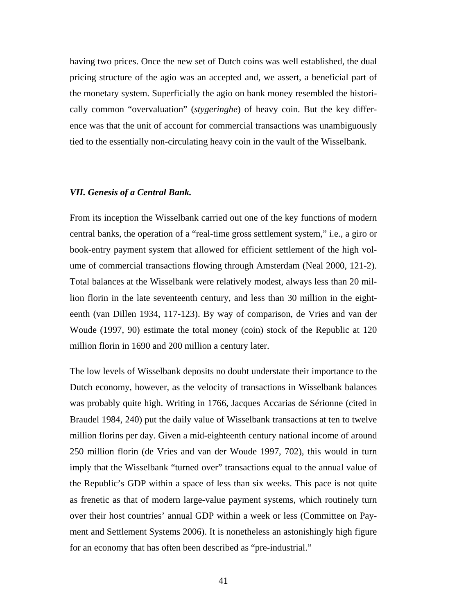having two prices. Once the new set of Dutch coins was well established, the dual pricing structure of the agio was an accepted and, we assert, a beneficial part of the monetary system. Superficially the agio on bank money resembled the historically common "overvaluation" (*stygeringhe*) of heavy coin. But the key difference was that the unit of account for commercial transactions was unambiguously tied to the essentially non-circulating heavy coin in the vault of the Wisselbank.

#### *VII. Genesis of a Central Bank.*

From its inception the Wisselbank carried out one of the key functions of modern central banks, the operation of a "real-time gross settlement system," i.e., a giro or book-entry payment system that allowed for efficient settlement of the high volume of commercial transactions flowing through Amsterdam (Neal 2000, 121-2). Total balances at the Wisselbank were relatively modest, always less than 20 million florin in the late seventeenth century, and less than 30 million in the eighteenth (van Dillen 1934, 117-123). By way of comparison, de Vries and van der Woude (1997, 90) estimate the total money (coin) stock of the Republic at 120 million florin in 1690 and 200 million a century later.

The low levels of Wisselbank deposits no doubt understate their importance to the Dutch economy, however, as the velocity of transactions in Wisselbank balances was probably quite high. Writing in 1766, Jacques Accarias de Sérionne (cited in Braudel 1984, 240) put the daily value of Wisselbank transactions at ten to twelve million florins per day. Given a mid-eighteenth century national income of around 250 million florin (de Vries and van der Woude 1997, 702), this would in turn imply that the Wisselbank "turned over" transactions equal to the annual value of the Republic's GDP within a space of less than six weeks. This pace is not quite as frenetic as that of modern large-value payment systems, which routinely turn over their host countries' annual GDP within a week or less (Committee on Payment and Settlement Systems 2006). It is nonetheless an astonishingly high figure for an economy that has often been described as "pre-industrial."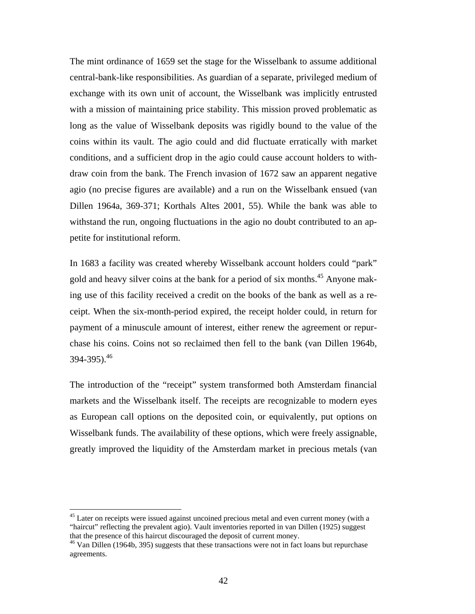The mint ordinance of 1659 set the stage for the Wisselbank to assume additional central-bank-like responsibilities. As guardian of a separate, privileged medium of exchange with its own unit of account, the Wisselbank was implicitly entrusted with a mission of maintaining price stability. This mission proved problematic as long as the value of Wisselbank deposits was rigidly bound to the value of the coins within its vault. The agio could and did fluctuate erratically with market conditions, and a sufficient drop in the agio could cause account holders to withdraw coin from the bank. The French invasion of 1672 saw an apparent negative agio (no precise figures are available) and a run on the Wisselbank ensued (van Dillen 1964a, 369-371; Korthals Altes 2001, 55). While the bank was able to withstand the run, ongoing fluctuations in the agio no doubt contributed to an appetite for institutional reform.

In 1683 a facility was created whereby Wisselbank account holders could "park" gold and heavy silver coins at the bank for a period of six months.<sup>45</sup> Anyone making use of this facility received a credit on the books of the bank as well as a receipt. When the six-month-period expired, the receipt holder could, in return for payment of a minuscule amount of interest, either renew the agreement or repurchase his coins. Coins not so reclaimed then fell to the bank (van Dillen 1964b, 394-395).46

The introduction of the "receipt" system transformed both Amsterdam financial markets and the Wisselbank itself. The receipts are recognizable to modern eyes as European call options on the deposited coin, or equivalently, put options on Wisselbank funds. The availability of these options, which were freely assignable, greatly improved the liquidity of the Amsterdam market in precious metals (van

<sup>&</sup>lt;sup>45</sup> Later on receipts were issued against uncoined precious metal and even current money (with a "haircut" reflecting the prevalent agio). Vault inventories reported in van Dillen (1925) suggest that the presence of this haircut discouraged the deposit of current money.<br><sup>46</sup> Van Dillen (1964b, 395) suggests that these transactions were not in fact loans but repurchase

agreements.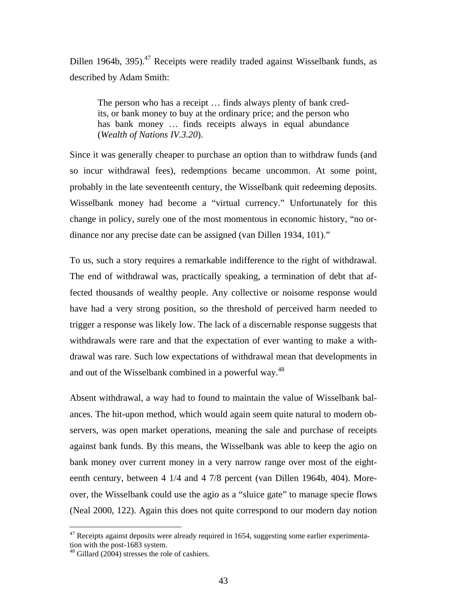Dillen 1964b, 395).<sup>47</sup> Receipts were readily traded against Wisselbank funds, as described by Adam Smith:

The person who has a receipt … finds always plenty of bank credits, or bank money to buy at the ordinary price; and the person who has bank money ... finds receipts always in equal abundance (*Wealth of Nations IV.3.20*).

Since it was generally cheaper to purchase an option than to withdraw funds (and so incur withdrawal fees), redemptions became uncommon. At some point, probably in the late seventeenth century, the Wisselbank quit redeeming deposits. Wisselbank money had become a "virtual currency." Unfortunately for this change in policy, surely one of the most momentous in economic history, "no ordinance nor any precise date can be assigned (van Dillen 1934, 101)."

To us, such a story requires a remarkable indifference to the right of withdrawal. The end of withdrawal was, practically speaking, a termination of debt that affected thousands of wealthy people. Any collective or noisome response would have had a very strong position, so the threshold of perceived harm needed to trigger a response was likely low. The lack of a discernable response suggests that withdrawals were rare and that the expectation of ever wanting to make a withdrawal was rare. Such low expectations of withdrawal mean that developments in and out of the Wisselbank combined in a powerful way.<sup>48</sup>

Absent withdrawal, a way had to found to maintain the value of Wisselbank balances. The hit-upon method, which would again seem quite natural to modern observers, was open market operations, meaning the sale and purchase of receipts against bank funds. By this means, the Wisselbank was able to keep the agio on bank money over current money in a very narrow range over most of the eighteenth century, between 4 1/4 and 4 7/8 percent (van Dillen 1964b, 404). Moreover, the Wisselbank could use the agio as a "sluice gate" to manage specie flows (Neal 2000, 122). Again this does not quite correspond to our modern day notion

 $47$  Receipts against deposits were already required in 1654, suggesting some earlier experimentation with the post-1683 system.

<sup>&</sup>lt;sup>48</sup> Gillard (2004) stresses the role of cashiers.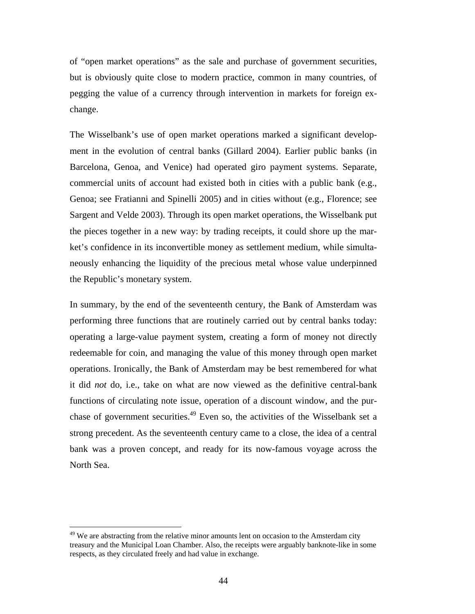of "open market operations" as the sale and purchase of government securities, but is obviously quite close to modern practice, common in many countries, of pegging the value of a currency through intervention in markets for foreign exchange.

The Wisselbank's use of open market operations marked a significant development in the evolution of central banks (Gillard 2004). Earlier public banks (in Barcelona, Genoa, and Venice) had operated giro payment systems. Separate, commercial units of account had existed both in cities with a public bank (e.g., Genoa; see Fratianni and Spinelli 2005) and in cities without (e.g., Florence; see Sargent and Velde 2003). Through its open market operations, the Wisselbank put the pieces together in a new way: by trading receipts, it could shore up the market's confidence in its inconvertible money as settlement medium, while simultaneously enhancing the liquidity of the precious metal whose value underpinned the Republic's monetary system.

In summary, by the end of the seventeenth century, the Bank of Amsterdam was performing three functions that are routinely carried out by central banks today: operating a large-value payment system, creating a form of money not directly redeemable for coin, and managing the value of this money through open market operations. Ironically, the Bank of Amsterdam may be best remembered for what it did *not* do, i.e., take on what are now viewed as the definitive central-bank functions of circulating note issue, operation of a discount window, and the purchase of government securities.<sup>49</sup> Even so, the activities of the Wisselbank set a strong precedent. As the seventeenth century came to a close, the idea of a central bank was a proven concept, and ready for its now-famous voyage across the North Sea.

 $49$  We are abstracting from the relative minor amounts lent on occasion to the Amsterdam city treasury and the Municipal Loan Chamber. Also, the receipts were arguably banknote-like in some respects, as they circulated freely and had value in exchange.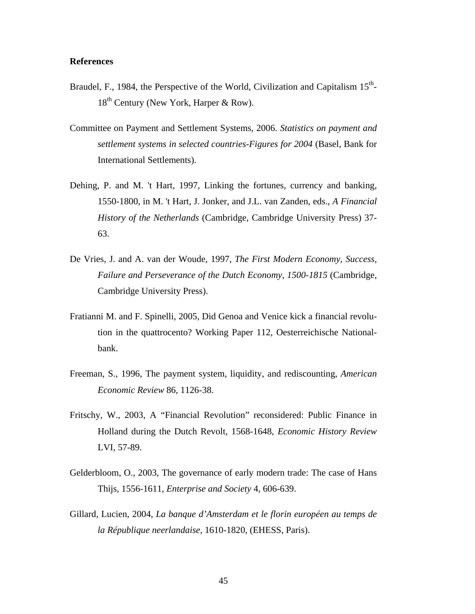## **References**

- Braudel, F., 1984, the Perspective of the World, Civilization and Capitalism  $15<sup>th</sup>$ -18<sup>th</sup> Century (New York, Harper & Row).
- Committee on Payment and Settlement Systems, 2006. *Statistics on payment and settlement systems in selected countries-Figures for 2004* (Basel, Bank for International Settlements).
- Dehing, P. and M. 't Hart, 1997, Linking the fortunes, currency and banking, 1550-1800, in M. 't Hart, J. Jonker, and J.L. van Zanden, eds., *A Financial History of the Netherlands* (Cambridge, Cambridge University Press) 37- 63.
- De Vries, J. and A. van der Woude, 1997, *The First Modern Economy, Success, Failure and Perseverance of the Dutch Economy, 1500-1815* (Cambridge, Cambridge University Press).
- Fratianni M. and F. Spinelli, 2005, Did Genoa and Venice kick a financial revolution in the quattrocento? Working Paper 112, Oesterreichische Nationalbank.
- Freeman, S., 1996, The payment system, liquidity, and rediscounting, *American Economic Review* 86, 1126-38.
- Fritschy, W., 2003, A "Financial Revolution" reconsidered: Public Finance in Holland during the Dutch Revolt, 1568-1648, *Economic History Review* LVI, 57-89.
- Gelderbloom, O., 2003, The governance of early modern trade: The case of Hans Thijs, 1556-1611, *Enterprise and Society* 4, 606-639.
- Gillard, Lucien, 2004, *La banque d'Amsterdam et le florin européen au temps de la République neerlandaise*, 1610-1820, (EHESS, Paris).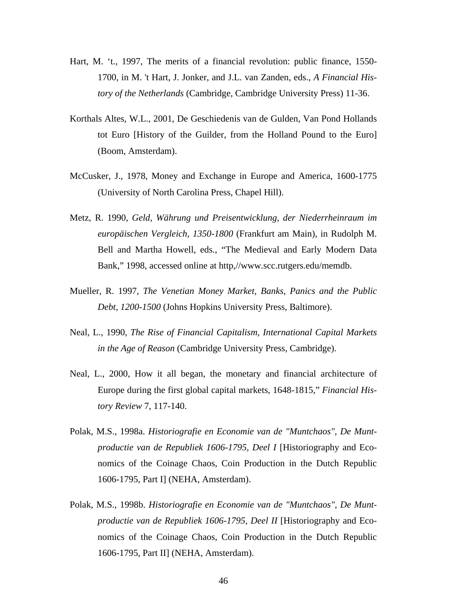- Hart, M. 't., 1997, The merits of a financial revolution: public finance, 1550- 1700, in M. 't Hart, J. Jonker, and J.L. van Zanden, eds., *A Financial History of the Netherlands* (Cambridge, Cambridge University Press) 11-36.
- Korthals Altes, W.L., 2001, De Geschiedenis van de Gulden, Van Pond Hollands tot Euro [History of the Guilder, from the Holland Pound to the Euro] (Boom, Amsterdam).
- McCusker, J., 1978, Money and Exchange in Europe and America, 1600-1775 (University of North Carolina Press, Chapel Hill).
- Metz, R. 1990, *Geld, Währung und Preisentwicklung, der Niederrheinraum im europäischen Vergleich, 1350-1800* (Frankfurt am Main), in Rudolph M. Bell and Martha Howell, eds., "The Medieval and Early Modern Data Bank," 1998, accessed online at http,//www.scc.rutgers.edu/memdb.
- Mueller, R. 1997, *The Venetian Money Market, Banks, Panics and the Public Debt, 1200-1500* (Johns Hopkins University Press, Baltimore).
- Neal, L., 1990, *The Rise of Financial Capitalism, International Capital Markets in the Age of Reason* (Cambridge University Press, Cambridge).
- Neal, L., 2000, How it all began, the monetary and financial architecture of Europe during the first global capital markets, 1648-1815," *Financial History Review* 7, 117-140.
- Polak, M.S., 1998a. *Historiografie en Economie van de "Muntchaos", De Muntproductie van de Republiek 1606-1795, Deel I* [Historiography and Economics of the Coinage Chaos, Coin Production in the Dutch Republic 1606-1795, Part I] (NEHA, Amsterdam).
- Polak, M.S., 1998b. *Historiografie en Economie van de "Muntchaos", De Muntproductie van de Republiek 1606-1795, Deel II* [Historiography and Economics of the Coinage Chaos, Coin Production in the Dutch Republic 1606-1795, Part II] (NEHA, Amsterdam).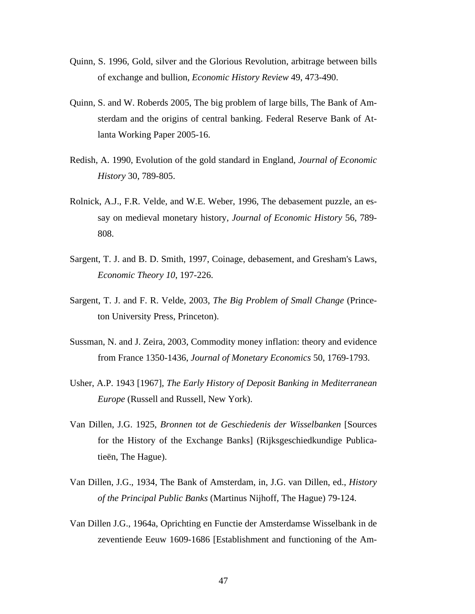- Quinn, S. 1996, Gold, silver and the Glorious Revolution, arbitrage between bills of exchange and bullion, *Economic History Review* 49, 473-490.
- Quinn, S. and W. Roberds 2005, The big problem of large bills, The Bank of Amsterdam and the origins of central banking. Federal Reserve Bank of Atlanta Working Paper 2005-16.
- Redish, A. 1990, Evolution of the gold standard in England, *Journal of Economic History* 30, 789-805.
- Rolnick, A.J., F.R. Velde, and W.E. Weber, 1996, The debasement puzzle, an essay on medieval monetary history, *Journal of Economic History* 56, 789- 808.
- Sargent, T. J. and B. D. Smith, 1997, Coinage, debasement, and Gresham's Laws, *Economic Theory 10*, 197-226.
- Sargent, T. J. and F. R. Velde, 2003, *The Big Problem of Small Change* (Princeton University Press, Princeton).
- Sussman, N. and J. Zeira, 2003, Commodity money inflation: theory and evidence from France 1350-1436, *Journal of Monetary Economics* 50, 1769-1793.
- Usher, A.P. 1943 [1967], *The Early History of Deposit Banking in Mediterranean Europe* (Russell and Russell, New York).
- Van Dillen, J.G. 1925, *Bronnen tot de Geschiedenis der Wisselbanken* [Sources for the History of the Exchange Banks] (Rijksgeschiedkundige Publicatieën, The Hague).
- Van Dillen, J.G., 1934, The Bank of Amsterdam, in, J.G. van Dillen, ed., *History of the Principal Public Banks* (Martinus Nijhoff, The Hague) 79-124.
- Van Dillen J.G., 1964a, Oprichting en Functie der Amsterdamse Wisselbank in de zeventiende Eeuw 1609-1686 [Establishment and functioning of the Am-